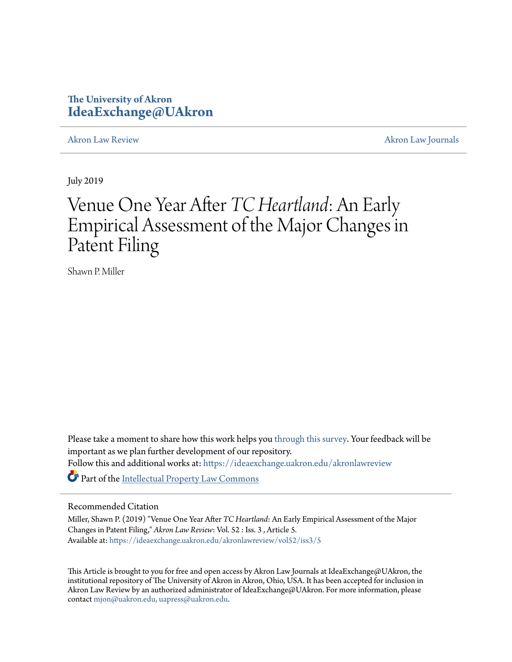# **The University of Akron [IdeaExchange@UAkron](https://ideaexchange.uakron.edu?utm_source=ideaexchange.uakron.edu%2Fakronlawreview%2Fvol52%2Fiss3%2F5&utm_medium=PDF&utm_campaign=PDFCoverPages)**

[Akron Law Review](https://ideaexchange.uakron.edu/akronlawreview?utm_source=ideaexchange.uakron.edu%2Fakronlawreview%2Fvol52%2Fiss3%2F5&utm_medium=PDF&utm_campaign=PDFCoverPages) [Akron Law Journals](https://ideaexchange.uakron.edu/akronlawjournals?utm_source=ideaexchange.uakron.edu%2Fakronlawreview%2Fvol52%2Fiss3%2F5&utm_medium=PDF&utm_campaign=PDFCoverPages)

July 2019

# Venue One Year After *TC Heartland*: An Early Empirical Assessment of the Major Changes in Patent Filing

Shawn P. Miller

Please take a moment to share how this work helps you [through this survey.](http://survey.az1.qualtrics.com/SE/?SID=SV_eEVH54oiCbOw05f&URL=https://ideaexchange.uakron.edu/akronlawreview/vol52/iss3/5) Your feedback will be important as we plan further development of our repository. Follow this and additional works at: [https://ideaexchange.uakron.edu/akronlawreview](https://ideaexchange.uakron.edu/akronlawreview?utm_source=ideaexchange.uakron.edu%2Fakronlawreview%2Fvol52%2Fiss3%2F5&utm_medium=PDF&utm_campaign=PDFCoverPages) Part of the [Intellectual Property Law Commons](http://network.bepress.com/hgg/discipline/896?utm_source=ideaexchange.uakron.edu%2Fakronlawreview%2Fvol52%2Fiss3%2F5&utm_medium=PDF&utm_campaign=PDFCoverPages)

# Recommended Citation

Miller, Shawn P. (2019) "Venue One Year After *TC Heartland*: An Early Empirical Assessment of the Major Changes in Patent Filing," *Akron Law Review*: Vol. 52 : Iss. 3 , Article 5. Available at: [https://ideaexchange.uakron.edu/akronlawreview/vol52/iss3/5](https://ideaexchange.uakron.edu/akronlawreview/vol52/iss3/5?utm_source=ideaexchange.uakron.edu%2Fakronlawreview%2Fvol52%2Fiss3%2F5&utm_medium=PDF&utm_campaign=PDFCoverPages)

This Article is brought to you for free and open access by Akron Law Journals at IdeaExchange@UAkron, the institutional repository of The University of Akron in Akron, Ohio, USA. It has been accepted for inclusion in Akron Law Review by an authorized administrator of IdeaExchange@UAkron. For more information, please contact [mjon@uakron.edu, uapress@uakron.edu.](mailto:mjon@uakron.edu,%20uapress@uakron.edu)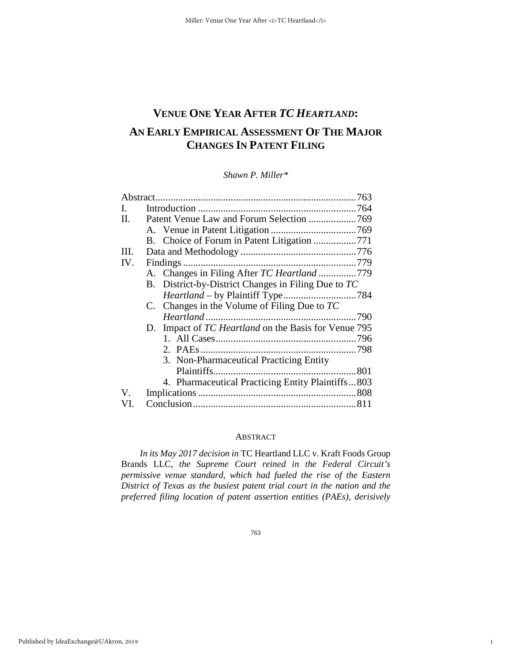# **VENUE ONE YEAR AFTER** *TC HEARTLAND***: AN EARLY EMPIRICAL ASSESSMENT OF THE MAJOR CHANGES IN PATENT FILING**

*Shawn P. Miller\** 

| Abstract. |                                                      |  |
|-----------|------------------------------------------------------|--|
| L.        |                                                      |  |
| П.        |                                                      |  |
|           |                                                      |  |
|           | B. Choice of Forum in Patent Litigation 771          |  |
| III.      |                                                      |  |
| IV.       |                                                      |  |
|           | A. Changes in Filing After TC Heartland 779          |  |
|           | B. District-by-District Changes in Filing Due to TC  |  |
|           |                                                      |  |
|           | C. Changes in the Volume of Filing Due to $TC$       |  |
|           |                                                      |  |
|           | D. Impact of TC Heartland on the Basis for Venue 795 |  |
|           |                                                      |  |
|           |                                                      |  |
|           | 3. Non-Pharmaceutical Practicing Entity              |  |
|           |                                                      |  |
|           | 4. Pharmaceutical Practicing Entity Plaintiffs803    |  |
| V.        |                                                      |  |
| VI.       |                                                      |  |

# ABSTRACT

*In its May 2017 decision in* TC Heartland LLC v. Kraft Foods Group Brands LLC*, the Supreme Court reined in the Federal Circuit's permissive venue standard, which had fueled the rise of the Eastern District of Texas as the busiest patent trial court in the nation and the preferred filing location of patent assertion entities (PAEs), derisively* 

1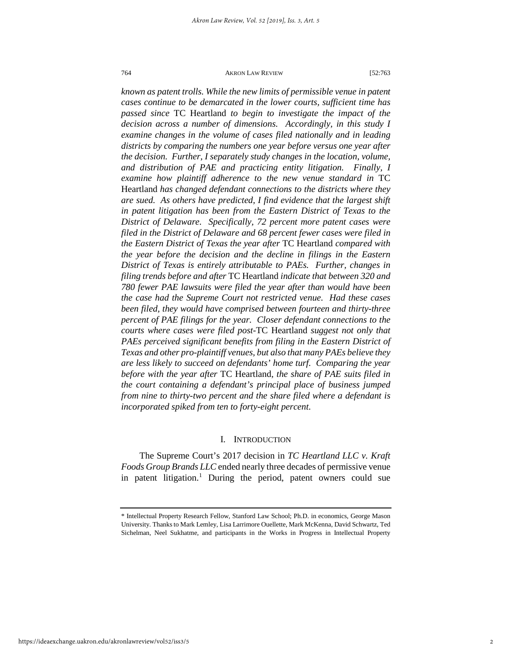*known as patent trolls. While the new limits of permissible venue in patent cases continue to be demarcated in the lower courts, sufficient time has passed since* TC Heartland *to begin to investigate the impact of the decision across a number of dimensions. Accordingly, in this study I examine changes in the volume of cases filed nationally and in leading districts by comparing the numbers one year before versus one year after the decision. Further, I separately study changes in the location, volume, and distribution of PAE and practicing entity litigation. Finally, I examine how plaintiff adherence to the new venue standard in* TC Heartland *has changed defendant connections to the districts where they are sued. As others have predicted, I find evidence that the largest shift in patent litigation has been from the Eastern District of Texas to the District of Delaware. Specifically, 72 percent more patent cases were filed in the District of Delaware and 68 percent fewer cases were filed in the Eastern District of Texas the year after* TC Heartland *compared with the year before the decision and the decline in filings in the Eastern District of Texas is entirely attributable to PAEs. Further, changes in filing trends before and after* TC Heartland *indicate that between 320 and 780 fewer PAE lawsuits were filed the year after than would have been the case had the Supreme Court not restricted venue. Had these cases been filed, they would have comprised between fourteen and thirty-three percent of PAE filings for the year. Closer defendant connections to the courts where cases were filed post-*TC Heartland *suggest not only that PAEs perceived significant benefits from filing in the Eastern District of Texas and other pro-plaintiff venues, but also that many PAEs believe they are less likely to succeed on defendants' home turf. Comparing the year before with the year after* TC Heartland*, the share of PAE suits filed in the court containing a defendant's principal place of business jumped from nine to thirty-two percent and the share filed where a defendant is incorporated spiked from ten to forty-eight percent.*

#### I. INTRODUCTION

The Supreme Court's 2017 decision in *TC Heartland LLC v. Kraft Foods Group Brands LLC* ended nearly three decades of permissive venue in patent litigation.<sup>[1](#page-2-0)</sup> During the period, patent owners could sue

<span id="page-2-0"></span><sup>\*</sup> Intellectual Property Research Fellow, Stanford Law School; Ph.D. in economics, George Mason University. Thanks to Mark Lemley, Lisa Larrimore Ouellette, Mark McKenna, David Schwartz, Ted Sichelman, Neel Sukhatme, and participants in the Works in Progress in Intellectual Property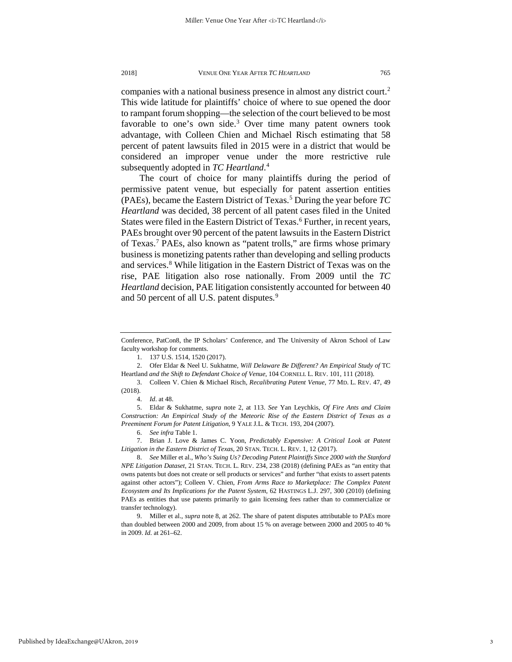companies with a national business presence in almost any district court.<sup>2</sup> This wide latitude for plaintiffs' choice of where to sue opened the door to rampant forum shopping—the selection of the court believed to be most favorable to one's own side. $3$  Over time many patent owners took advantage, with Colleen Chien and Michael Risch estimating that 58 percent of patent lawsuits filed in 2015 were in a district that would be considered an improper venue under the more restrictive rule subsequently adopted in *TC Heartland*. [4](#page-3-2)

The court of choice for many plaintiffs during the period of permissive patent venue, but especially for patent assertion entities (PAEs), became the Eastern District of Texas.[5](#page-3-3) During the year before *TC Heartland* was decided, 38 percent of all patent cases filed in the United States were filed in the Eastern District of Texas.<sup>[6](#page-3-4)</sup> Further, in recent years, PAEs brought over 90 percent of the patent lawsuits in the Eastern District of Texas.[7](#page-3-5) PAEs, also known as "patent trolls," are firms whose primary business is monetizing patents rather than developing and selling products and services.<sup>[8](#page-3-6)</sup> While litigation in the Eastern District of Texas was on the rise, PAE litigation also rose nationally. From 2009 until the *TC Heartland* decision, PAE litigation consistently accounted for between 40 and 50 percent of all U.S. patent disputes.<sup>[9](#page-3-7)</sup>

Published by IdeaExchange@UAkron, 2019

3

Conference, PatCon8, the IP Scholars' Conference, and The University of Akron School of Law faculty workshop for comments.

<sup>1.</sup> 137 U.S. 1514, 1520 (2017).

<span id="page-3-0"></span><sup>2.</sup> Ofer Eldar & Neel U. Sukhatme, *Will Delaware Be Different? An Empirical Study of* TC Heartland *and the Shift to Defendant Choice of Venue*, 104 CORNELL L. REV. 101, 111 (2018).

<span id="page-3-1"></span><sup>3.</sup> Colleen V. Chien & Michael Risch, *Recalibrating Patent Venue*, 77 MD. L. REV. 47, 49 (2018).

<sup>4.</sup> *Id*. at 48.

<span id="page-3-3"></span><span id="page-3-2"></span><sup>5.</sup> Eldar & Sukhatme, *supra* note 2, at 113. *See* Yan Leychkis, *Of Fire Ants and Claim Construction: An Empirical Study of the Meteoric Rise of the Eastern District of Texas as a Preeminent Forum for Patent Litigation*, 9 YALE J.L. & TECH. 193, 204 (2007).

<sup>6.</sup> *See infra* Table 1.

<span id="page-3-5"></span><span id="page-3-4"></span><sup>7.</sup> Brian J. Love & James C. Yoon, *Predictably Expensive: A Critical Look at Patent Litigation in the Eastern District of Texas*, 20 STAN. TECH. L. REV. 1, 12 (2017).

<span id="page-3-6"></span><sup>8.</sup> *See* Miller et al., *Who's Suing Us? Decoding Patent Plaintiffs Since 2000 with the Stanford NPE Litigation Dataset*, 21 STAN. TECH. L. REV. 234, 238 (2018) (defining PAEs as "an entity that owns patents but does not create or sell products or services" and further "that exists to assert patents against other actors"); Colleen V. Chien, *From Arms Race to Marketplace: The Complex Patent Ecosystem and Its Implications for the Patent System*, 62 HASTINGS L.J. 297, 300 (2010) (defining PAEs as entities that use patents primarily to gain licensing fees rather than to commercialize or transfer technology).

<span id="page-3-7"></span><sup>9.</sup> Miller et al., *supra* note 8, at 262. The share of patent disputes attributable to PAEs more than doubled between 2000 and 2009, from about 15 % on average between 2000 and 2005 to 40 % in 2009. *Id*. at 261–62.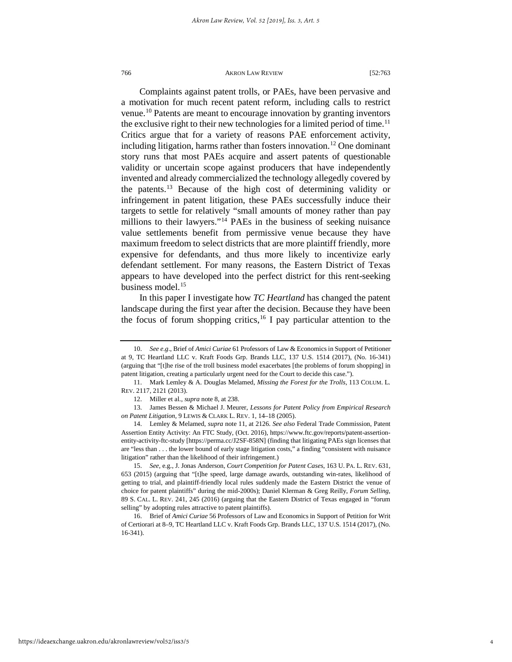Complaints against patent trolls, or PAEs, have been pervasive and a motivation for much recent patent reform, including calls to restrict venue[.10](#page-4-0) Patents are meant to encourage innovation by granting inventors the exclusive right to their new technologies for a limited period of time.<sup>[11](#page-4-1)</sup> Critics argue that for a variety of reasons PAE enforcement activity, including litigation, harms rather than fosters innovation.<sup>[12](#page-4-2)</sup> One dominant story runs that most PAEs acquire and assert patents of questionable validity or uncertain scope against producers that have independently invented and already commercialized the technology allegedly covered by the patents.[13](#page-4-3) Because of the high cost of determining validity or infringement in patent litigation, these PAEs successfully induce their targets to settle for relatively "small amounts of money rather than pay millions to their lawyers."[14](#page-4-4) PAEs in the business of seeking nuisance value settlements benefit from permissive venue because they have maximum freedom to select districts that are more plaintiff friendly, more expensive for defendants, and thus more likely to incentivize early defendant settlement. For many reasons, the Eastern District of Texas appears to have developed into the perfect district for this rent-seeking business model.<sup>[15](#page-4-5)</sup>

In this paper I investigate how *TC Heartland* has changed the patent landscape during the first year after the decision. Because they have been the focus of forum shopping critics,<sup>[16](#page-4-6)</sup> I pay particular attention to the

<span id="page-4-0"></span><sup>10.</sup> *See e.g*., Brief of *Amici Curiae* 61 Professors of Law & Economics in Support of Petitioner at 9, TC Heartland LLC v. Kraft Foods Grp. Brands LLC, 137 U.S. 1514 (2017), (No. 16-341) (arguing that "[t]he rise of the troll business model exacerbates [the problems of forum shopping] in patent litigation, creating a particularly urgent need for the Court to decide this case.").

<span id="page-4-1"></span><sup>11.</sup> Mark Lemley & A. Douglas Melamed, *Missing the Forest for the Trolls*, 113 COLUM. L. REV. 2117, 2121 (2013).

<sup>12.</sup> Miller et al., *supra* note 8, at 238.

<span id="page-4-3"></span><span id="page-4-2"></span><sup>13.</sup> James Bessen & Michael J. Meurer, *Lessons for Patent Policy from Empirical Research on Patent Litigation*, 9 LEWIS & CLARK L. REV. 1, 14–18 (2005).

<span id="page-4-4"></span><sup>14.</sup> Lemley & Melamed, *supra* note 11, at 2126. *See also* Federal Trade Commission, Patent Assertion Entity Activity: An FTC Study, (Oct. 2016), https://www.ftc.gov/reports/patent-assertionentity-activity-ftc-study [https://perma.cc/J2SF-858N] (finding that litigating PAEs sign licenses that are "less than . . . the lower bound of early stage litigation costs," a finding "consistent with nuisance litigation" rather than the likelihood of their infringement.)

<span id="page-4-5"></span><sup>15.</sup> *See*, e.g., J. Jonas Anderson, *Court Competition for Patent Cases*, 163 U. PA. L. REV. 631, 653 (2015) (arguing that "[t]he speed, large damage awards, outstanding win-rates, likelihood of getting to trial, and plaintiff-friendly local rules suddenly made the Eastern District the venue of choice for patent plaintiffs" during the mid-2000s); Daniel Klerman & Greg Reilly, *Forum Selling*, 89 S. CAL. L. REV. 241, 245 (2016) (arguing that the Eastern District of Texas engaged in "forum selling" by adopting rules attractive to patent plaintiffs).

<span id="page-4-6"></span><sup>16.</sup> Brief of *Amici Curiae* 56 Professors of Law and Economics in Support of Petition for Writ of Certiorari at 8–9, TC Heartland LLC v. Kraft Foods Grp. Brands LLC, 137 U.S. 1514 (2017), (No. 16-341).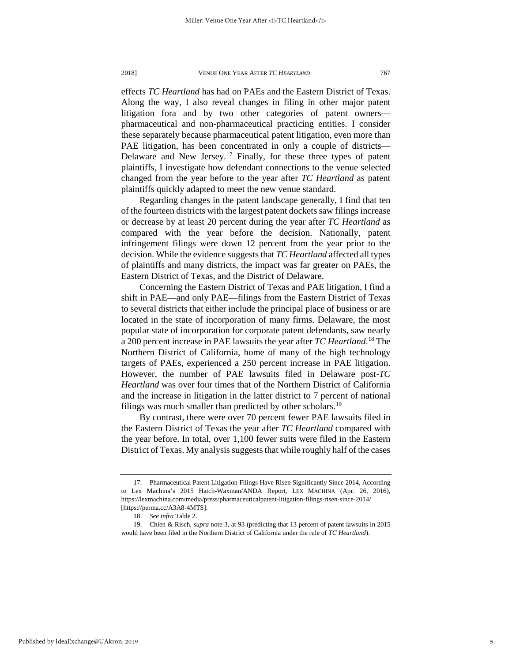effects *TC Heartland* has had on PAEs and the Eastern District of Texas. Along the way, I also reveal changes in filing in other major patent litigation fora and by two other categories of patent owners pharmaceutical and non-pharmaceutical practicing entities. I consider these separately because pharmaceutical patent litigation, even more than PAE litigation, has been concentrated in only a couple of districts— Delaware and New Jersey.<sup>[17](#page-5-0)</sup> Finally, for these three types of patent plaintiffs, I investigate how defendant connections to the venue selected changed from the year before to the year after *TC Heartland* as patent plaintiffs quickly adapted to meet the new venue standard.

Regarding changes in the patent landscape generally, I find that ten of the fourteen districts with the largest patent dockets saw filings increase or decrease by at least 20 percent during the year after *TC Heartland* as compared with the year before the decision. Nationally, patent infringement filings were down 12 percent from the year prior to the decision. While the evidence suggests that *TC Heartland* affected all types of plaintiffs and many districts, the impact was far greater on PAEs, the Eastern District of Texas, and the District of Delaware.

Concerning the Eastern District of Texas and PAE litigation, I find a shift in PAE—and only PAE—filings from the Eastern District of Texas to several districts that either include the principal place of business or are located in the state of incorporation of many firms. Delaware, the most popular state of incorporation for corporate patent defendants, saw nearly a 200 percent increase in PAE lawsuits the year after *TC Heartland*. [18](#page-5-1) The Northern District of California, home of many of the high technology targets of PAEs, experienced a 250 percent increase in PAE litigation. However, the number of PAE lawsuits filed in Delaware post-*TC Heartland* was over four times that of the Northern District of California and the increase in litigation in the latter district to 7 percent of national filings was much smaller than predicted by other scholars.<sup>[19](#page-5-2)</sup>

By contrast, there were over 70 percent fewer PAE lawsuits filed in the Eastern District of Texas the year after *TC Heartland* compared with the year before. In total, over 1,100 fewer suits were filed in the Eastern District of Texas. My analysis suggests that while roughly half of the cases

<span id="page-5-0"></span><sup>17.</sup> Pharmaceutical Patent Litigation Filings Have Risen Significantly Since 2014, According to Lex Machina's 2015 Hatch-Waxman/ANDA Report, LEX MACHINA (Apr. 26, 2016), https://lexmachina.com/media/press/pharmaceuticalpatent-litigation-filings-risen-since-2014/ [https://perma.cc/A3A8-4MTS].

<sup>18.</sup> *See infra* Table 2.

<span id="page-5-2"></span><span id="page-5-1"></span><sup>19.</sup> Chien & Risch, *supra* note 3, at 93 (predicting that 13 percent of patent lawsuits in 2015 would have been filed in the Northern District of California under the rule of *TC Heartland*).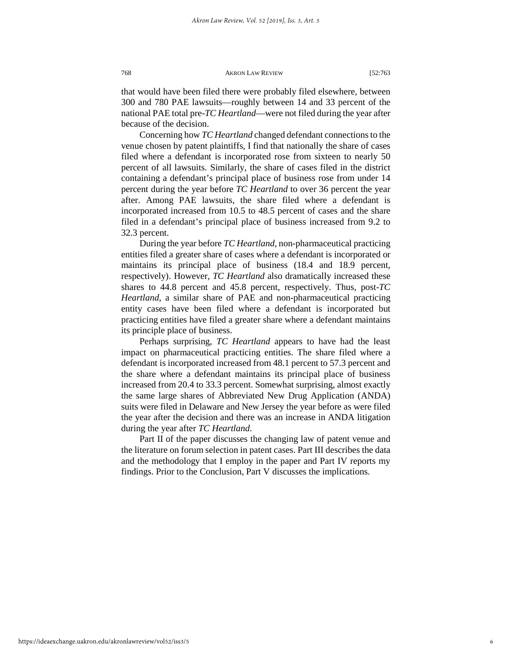that would have been filed there were probably filed elsewhere, between 300 and 780 PAE lawsuits—roughly between 14 and 33 percent of the national PAE total pre-*TC Heartland*—were not filed during the year after because of the decision.

Concerning how *TC Heartland* changed defendant connections to the venue chosen by patent plaintiffs, I find that nationally the share of cases filed where a defendant is incorporated rose from sixteen to nearly 50 percent of all lawsuits. Similarly, the share of cases filed in the district containing a defendant's principal place of business rose from under 14 percent during the year before *TC Heartland* to over 36 percent the year after. Among PAE lawsuits, the share filed where a defendant is incorporated increased from 10.5 to 48.5 percent of cases and the share filed in a defendant's principal place of business increased from 9.2 to 32.3 percent.

During the year before *TC Heartland*, non-pharmaceutical practicing entities filed a greater share of cases where a defendant is incorporated or maintains its principal place of business (18.4 and 18.9 percent, respectively). However, *TC Heartland* also dramatically increased these shares to 44.8 percent and 45.8 percent, respectively. Thus, post-*TC Heartland*, a similar share of PAE and non-pharmaceutical practicing entity cases have been filed where a defendant is incorporated but practicing entities have filed a greater share where a defendant maintains its principle place of business.

Perhaps surprising, *TC Heartland* appears to have had the least impact on pharmaceutical practicing entities. The share filed where a defendant is incorporated increased from 48.1 percent to 57.3 percent and the share where a defendant maintains its principal place of business increased from 20.4 to 33.3 percent. Somewhat surprising, almost exactly the same large shares of Abbreviated New Drug Application (ANDA) suits were filed in Delaware and New Jersey the year before as were filed the year after the decision and there was an increase in ANDA litigation during the year after *TC Heartland*.

Part II of the paper discusses the changing law of patent venue and the literature on forum selection in patent cases. Part III describes the data and the methodology that I employ in the paper and Part IV reports my findings. Prior to the Conclusion, Part V discusses the implications.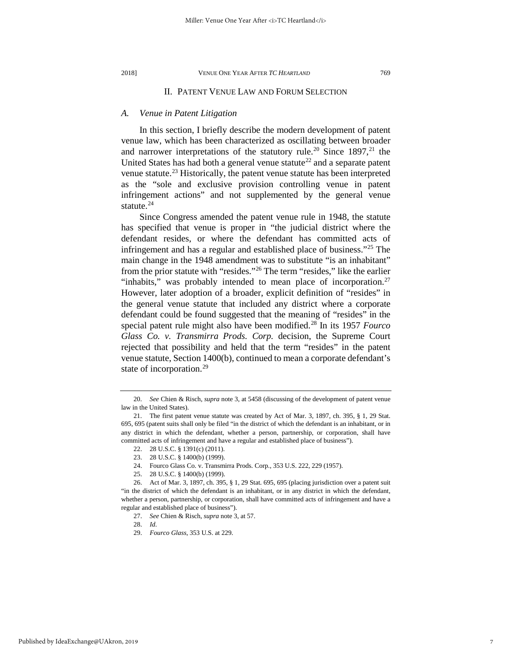#### II. PATENT VENUE LAW AND FORUM SELECTION

#### *A. Venue in Patent Litigation*

In this section, I briefly describe the modern development of patent venue law, which has been characterized as oscillating between broader and narrower interpretations of the statutory rule.<sup>[20](#page-7-0)</sup> Since  $1897$ ,<sup>21</sup> the United States has had both a general venue statute<sup>[22](#page-7-2)</sup> and a separate patent venue statute.<sup>[23](#page-7-3)</sup> Historically, the patent venue statute has been interpreted as the "sole and exclusive provision controlling venue in patent infringement actions" and not supplemented by the general venue statute. $^{24}$  $^{24}$  $^{24}$ 

Since Congress amended the patent venue rule in 1948, the statute has specified that venue is proper in "the judicial district where the defendant resides, or where the defendant has committed acts of infringement and has a regular and established place of business."[25](#page-7-5) The main change in the 1948 amendment was to substitute "is an inhabitant" from the prior statute with "resides."[26](#page-7-6) The term "resides," like the earlier "inhabits," was probably intended to mean place of incorporation.<sup>[27](#page-7-7)</sup> However, later adoption of a broader, explicit definition of "resides" in the general venue statute that included any district where a corporate defendant could be found suggested that the meaning of "resides" in the special patent rule might also have been modified.[28](#page-7-8) In its 1957 *Fourco Glass Co. v. Transmirra Prods. Corp.* decision, the Supreme Court rejected that possibility and held that the term "resides" in the patent venue statute, Section 1400(b), continued to mean a corporate defendant's state of incorporation.<sup>[29](#page-7-9)</sup>

<span id="page-7-0"></span><sup>20.</sup> *See* Chien & Risch, *supra* note 3, at 5458 (discussing of the development of patent venue law in the United States).

<span id="page-7-2"></span><span id="page-7-1"></span><sup>21.</sup> The first patent venue statute was created by Act of Mar. 3, 1897, ch. 395, § 1, 29 Stat. 695, 695 (patent suits shall only be filed "in the district of which the defendant is an inhabitant, or in any district in which the defendant, whether a person, partnership, or corporation, shall have committed acts of infringement and have a regular and established place of business").

<sup>22.</sup> 28 U.S.C. § 1391(c) (2011).

<sup>23.</sup> 28 U.S.C. § 1400(b) (1999).

<sup>24.</sup> Fourco Glass Co. v. Transmirra Prods. Corp., 353 U.S. 222, 229 (1957).

<sup>25.</sup> 28 U.S.C. § 1400(b) (1999).

<span id="page-7-9"></span><span id="page-7-8"></span><span id="page-7-7"></span><span id="page-7-6"></span><span id="page-7-5"></span><span id="page-7-4"></span><span id="page-7-3"></span><sup>26.</sup> Act of Mar. 3, 1897, ch. 395, § 1, 29 Stat. 695, 695 (placing jurisdiction over a patent suit "in the district of which the defendant is an inhabitant, or in any district in which the defendant, whether a person, partnership, or corporation, shall have committed acts of infringement and have a regular and established place of business").

<sup>27.</sup> *See* Chien & Risch, *supra* note 3, at 57.

<sup>28.</sup> *Id*.

<sup>29.</sup> *Fourco Glass*, 353 U.S. at 229.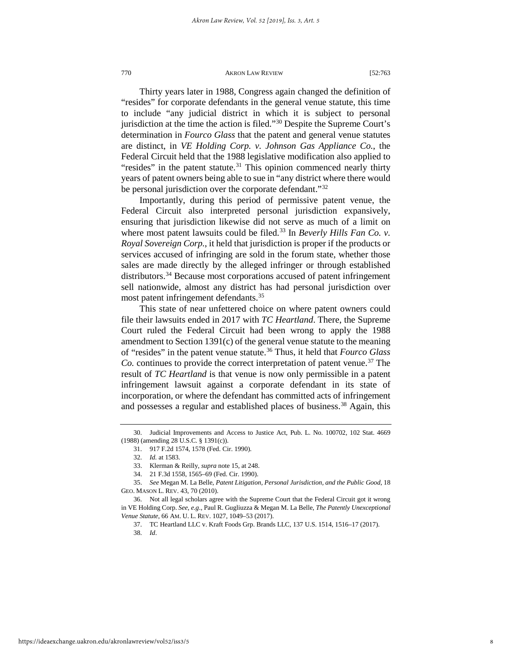Thirty years later in 1988, Congress again changed the definition of "resides" for corporate defendants in the general venue statute, this time to include "any judicial district in which it is subject to personal jurisdiction at the time the action is filed.["30](#page-8-0) Despite the Supreme Court's determination in *Fourco Glass* that the patent and general venue statutes are distinct, in *VE Holding Corp. v. Johnson Gas Appliance Co.*, the Federal Circuit held that the 1988 legislative modification also applied to "resides" in the patent statute.<sup>[31](#page-8-1)</sup> This opinion commenced nearly thirty years of patent owners being able to sue in "any district where there would be personal jurisdiction over the corporate defendant."<sup>[32](#page-8-2)</sup>

Importantly, during this period of permissive patent venue, the Federal Circuit also interpreted personal jurisdiction expansively, ensuring that jurisdiction likewise did not serve as much of a limit on where most patent lawsuits could be filed.<sup>[33](#page-8-3)</sup> In *Beverly Hills Fan Co. v. Royal Sovereign Corp.*, it held that jurisdiction is proper if the products or services accused of infringing are sold in the forum state, whether those sales are made directly by the alleged infringer or through established distributors.<sup>34</sup> Because most corporations accused of patent infringement sell nationwide, almost any district has had personal jurisdiction over most patent infringement defendants.<sup>[35](#page-8-5)</sup>

This state of near unfettered choice on where patent owners could file their lawsuits ended in 2017 with *TC Heartland*. There, the Supreme Court ruled the Federal Circuit had been wrong to apply the 1988 amendment to Section 1391(c) of the general venue statute to the meaning of "resides" in the patent venue statute.[36](#page-8-6) Thus, it held that *Fourco Glass Co.* continues to provide the correct interpretation of patent venue.<sup>[37](#page-8-7)</sup> The result of *TC Heartland* is that venue is now only permissible in a patent infringement lawsuit against a corporate defendant in its state of incorporation, or where the defendant has committed acts of infringement and possesses a regular and established places of business.<sup>[38](#page-8-8)</sup> Again, this

<span id="page-8-2"></span><span id="page-8-1"></span><span id="page-8-0"></span><sup>30.</sup> Judicial Improvements and Access to Justice Act, Pub. L. No. 100702, 102 Stat. 4669 (1988) (amending 28 U.S.C. § 1391(c)).

<sup>31.</sup> 917 F.2d 1574, 1578 (Fed. Cir. 1990).

<sup>32.</sup> *Id.* at 1583.

<sup>33.</sup> Klerman & Reilly, *supra* note 15, at 248.

<sup>34.</sup> 21 F.3d 1558, 1565–69 (Fed. Cir. 1990).

<span id="page-8-5"></span><span id="page-8-4"></span><span id="page-8-3"></span><sup>35.</sup> *See* Megan M. La Belle, *Patent Litigation, Personal Jurisdiction, and the Public Good*, 18 GEO. MASON L. REV. 43, 70 (2010).

<span id="page-8-8"></span><span id="page-8-7"></span><span id="page-8-6"></span><sup>36.</sup> Not all legal scholars agree with the Supreme Court that the Federal Circuit got it wrong in VE Holding Corp. *See, e.g*., Paul R. Gugliuzza & Megan M. La Belle, *The Patently Unexceptional Venue Statute*, 66 AM. U. L. REV. 1027, 1049–53 (2017).

<sup>37.</sup> TC Heartland LLC v. Kraft Foods Grp. Brands LLC, 137 U.S. 1514, 1516–17 (2017).

<sup>38.</sup> *Id*.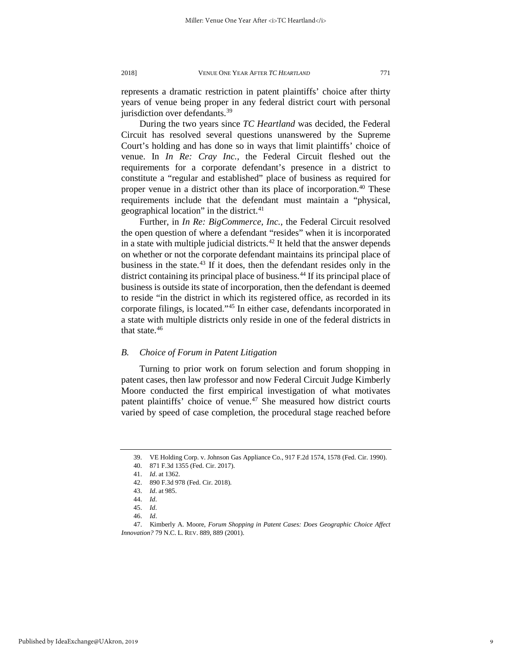represents a dramatic restriction in patent plaintiffs' choice after thirty years of venue being proper in any federal district court with personal jurisdiction over defendants.<sup>[39](#page-9-0)</sup>

During the two years since *TC Heartland* was decided, the Federal Circuit has resolved several questions unanswered by the Supreme Court's holding and has done so in ways that limit plaintiffs' choice of venue. In *In Re: Cray Inc.*, the Federal Circuit fleshed out the requirements for a corporate defendant's presence in a district to constitute a "regular and established" place of business as required for proper venue in a district other than its place of incorporation.<sup>[40](#page-9-1)</sup> These requirements include that the defendant must maintain a "physical, geographical location" in the district. $41$ 

Further, in *In Re: BigCommerce, Inc.*, the Federal Circuit resolved the open question of where a defendant "resides" when it is incorporated in a state with multiple judicial districts.<sup>[42](#page-9-3)</sup> It held that the answer depends on whether or not the corporate defendant maintains its principal place of business in the state. $43$  If it does, then the defendant resides only in the district containing its principal place of business.<sup>[44](#page-9-5)</sup> If its principal place of business is outside its state of incorporation, then the defendant is deemed to reside "in the district in which its registered office, as recorded in its corporate filings, is located."[45](#page-9-6) In either case, defendants incorporated in a state with multiple districts only reside in one of the federal districts in that state.<sup>[46](#page-9-7)</sup>

### *B. Choice of Forum in Patent Litigation*

Turning to prior work on forum selection and forum shopping in patent cases, then law professor and now Federal Circuit Judge Kimberly Moore conducted the first empirical investigation of what motivates patent plaintiffs' choice of venue.<sup>[47](#page-9-8)</sup> She measured how district courts varied by speed of case completion, the procedural stage reached before

<sup>39.</sup> VE Holding Corp. v. Johnson Gas Appliance Co., 917 F.2d 1574, 1578 (Fed. Cir. 1990).

<span id="page-9-1"></span><span id="page-9-0"></span><sup>40.</sup> 871 F.3d 1355 (Fed. Cir. 2017).

<sup>41.</sup> *Id*. at 1362.

<sup>42.</sup> 890 F.3d 978 (Fed. Cir. 2018).

<sup>43.</sup> *Id*. at 985.

<sup>44.</sup> *Id*.

<sup>45.</sup> *Id*.

<sup>46.</sup> *Id*.

<span id="page-9-8"></span><span id="page-9-7"></span><span id="page-9-6"></span><span id="page-9-5"></span><span id="page-9-4"></span><span id="page-9-3"></span><span id="page-9-2"></span><sup>47.</sup> Kimberly A. Moore, *Forum Shopping in Patent Cases: Does Geographic Choice Affect Innovation?* 79 N.C. L. REV. 889, 889 (2001).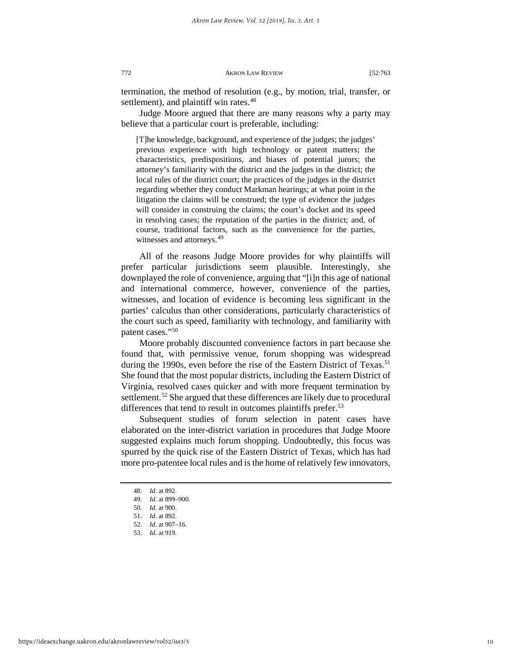termination, the method of resolution (e.g., by motion, trial, transfer, or settlement), and plaintiff win rates.<sup>48</sup>

Judge Moore argued that there are many reasons why a party may believe that a particular court is preferable, including:

[T]he knowledge, background, and experience of the judges; the judges' previous experience with high technology or patent matters; the characteristics, predispositions, and biases of potential jurors; the attorney's familiarity with the district and the judges in the district; the local rules of the district court; the practices of the judges in the district regarding whether they conduct Markman hearings; at what point in the litigation the claims will be construed; the type of evidence the judges will consider in construing the claims; the court's docket and its speed in resolving cases; the reputation of the parties in the district; and, of course, traditional factors, such as the convenience for the parties, witnesses and attorneys.<sup>[49](#page-10-1)</sup>

All of the reasons Judge Moore provides for why plaintiffs will prefer particular jurisdictions seem plausible. Interestingly, she downplayed the role of convenience, arguing that "[i]n this age of national and international commerce, however, convenience of the parties, witnesses, and location of evidence is becoming less significant in the parties' calculus than other considerations, particularly characteristics of the court such as speed, familiarity with technology, and familiarity with patent cases."[50](#page-10-2)

Moore probably discounted convenience factors in part because she found that, with permissive venue, forum shopping was widespread during the 1990s, even before the rise of the Eastern District of Texas.<sup>[51](#page-10-3)</sup> She found that the most popular districts, including the Eastern District of Virginia, resolved cases quicker and with more frequent termination by settlement.<sup>[52](#page-10-4)</sup> She argued that these differences are likely due to procedural differences that tend to result in outcomes plaintiffs prefer.<sup>[53](#page-10-5)</sup>

Subsequent studies of forum selection in patent cases have elaborated on the inter-district variation in procedures that Judge Moore suggested explains much forum shopping. Undoubtedly, this focus was spurred by the quick rise of the Eastern District of Texas, which has had more pro-patentee local rules and is the home of relatively few innovators,

<span id="page-10-0"></span><sup>48.</sup> *Id*. at 892.

<sup>49.</sup> *Id*. at 899–900.

<sup>50.</sup> *Id*. at 900.

<span id="page-10-5"></span><span id="page-10-4"></span><span id="page-10-3"></span><span id="page-10-2"></span><span id="page-10-1"></span><sup>51.</sup> *Id*. at 892.

<sup>52.</sup> *Id*. at 907–16.

<sup>53.</sup> *Id*. at 919.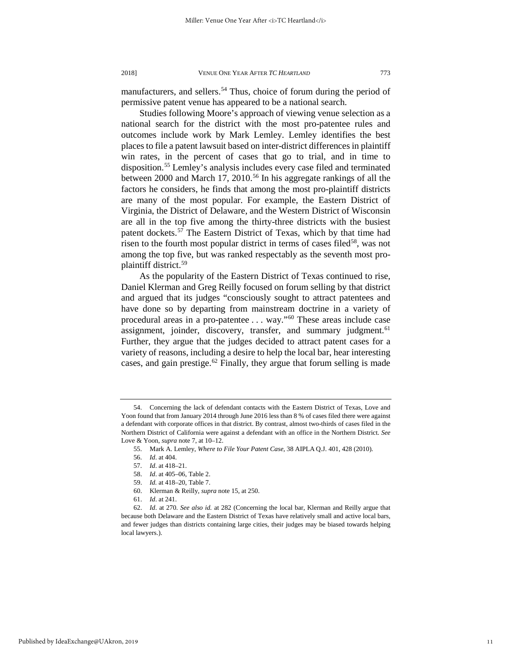manufacturers, and sellers.<sup>54</sup> Thus, choice of forum during the period of permissive patent venue has appeared to be a national search.

Studies following Moore's approach of viewing venue selection as a national search for the district with the most pro-patentee rules and outcomes include work by Mark Lemley. Lemley identifies the best places to file a patent lawsuit based on inter-district differences in plaintiff win rates, in the percent of cases that go to trial, and in time to disposition.[55](#page-11-1) Lemley's analysis includes every case filed and terminated between 2000 and March 17, 2010.<sup>[56](#page-11-2)</sup> In his aggregate rankings of all the factors he considers, he finds that among the most pro-plaintiff districts are many of the most popular. For example, the Eastern District of Virginia, the District of Delaware, and the Western District of Wisconsin are all in the top five among the thirty-three districts with the busiest patent dockets.<sup>[57](#page-11-3)</sup> The Eastern District of Texas, which by that time had risen to the fourth most popular district in terms of cases filed<sup>58</sup>, was not among the top five, but was ranked respectably as the seventh most proplaintiff district.[59](#page-11-5)

As the popularity of the Eastern District of Texas continued to rise, Daniel Klerman and Greg Reilly focused on forum selling by that district and argued that its judges "consciously sought to attract patentees and have done so by departing from mainstream doctrine in a variety of procedural areas in a pro-patentee . . . way."[60](#page-11-6) These areas include case assignment, joinder, discovery, transfer, and summary judgment.<sup>[61](#page-11-7)</sup> Further, they argue that the judges decided to attract patent cases for a variety of reasons, including a desire to help the local bar, hear interesting cases, and gain prestige. $62$  Finally, they argue that forum selling is made

<span id="page-11-2"></span><span id="page-11-1"></span><span id="page-11-0"></span><sup>54.</sup> Concerning the lack of defendant contacts with the Eastern District of Texas, Love and Yoon found that from January 2014 through June 2016 less than 8 % of cases filed there were against a defendant with corporate offices in that district. By contrast, almost two-thirds of cases filed in the Northern District of California were against a defendant with an office in the Northern District. *See*  Love & Yoon, *supra* note 7, at 10–12.

<sup>55.</sup> Mark A. Lemley, *Where to File Your Patent Case*, 38 AIPLA Q.J. 401, 428 (2010).

<sup>56.</sup> *Id*. at 404.

<sup>57.</sup> *Id*. at 418–21.

<sup>58.</sup> *Id*. at 405–06, Table 2.

<sup>59.</sup> *Id.* at 418–20, Table 7.

<sup>60.</sup> Klerman & Reilly, *supra* note 15, at 250.

<sup>61.</sup> *Id*. at 241.

<span id="page-11-8"></span><span id="page-11-7"></span><span id="page-11-6"></span><span id="page-11-5"></span><span id="page-11-4"></span><span id="page-11-3"></span><sup>62.</sup> *Id*. at 270. *See also id.* at 282 (Concerning the local bar, Klerman and Reilly argue that because both Delaware and the Eastern District of Texas have relatively small and active local bars, and fewer judges than districts containing large cities, their judges may be biased towards helping local lawyers.).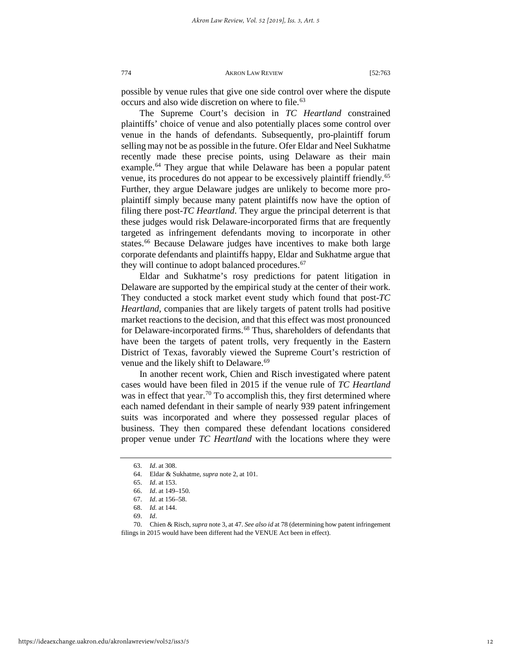possible by venue rules that give one side control over where the dispute occurs and also wide discretion on where to file.<sup>[63](#page-12-0)</sup>

The Supreme Court's decision in *TC Heartland* constrained plaintiffs' choice of venue and also potentially places some control over venue in the hands of defendants. Subsequently, pro-plaintiff forum selling may not be as possible in the future. Ofer Eldar and Neel Sukhatme recently made these precise points, using Delaware as their main example.<sup>[64](#page-12-1)</sup> They argue that while Delaware has been a popular patent venue, its procedures do not appear to be excessively plaintiff friendly.[65](#page-12-2) Further, they argue Delaware judges are unlikely to become more proplaintiff simply because many patent plaintiffs now have the option of filing there post-*TC Heartland*. They argue the principal deterrent is that these judges would risk Delaware-incorporated firms that are frequently targeted as infringement defendants moving to incorporate in other states.<sup>[66](#page-12-3)</sup> Because Delaware judges have incentives to make both large corporate defendants and plaintiffs happy, Eldar and Sukhatme argue that they will continue to adopt balanced procedures.<sup>[67](#page-12-4)</sup>

Eldar and Sukhatme's rosy predictions for patent litigation in Delaware are supported by the empirical study at the center of their work. They conducted a stock market event study which found that post-*TC Heartland*, companies that are likely targets of patent trolls had positive market reactions to the decision, and that this effect was most pronounced for Delaware-incorporated firms.<sup>[68](#page-12-5)</sup> Thus, shareholders of defendants that have been the targets of patent trolls, very frequently in the Eastern District of Texas, favorably viewed the Supreme Court's restriction of venue and the likely shift to Delaware.<sup>[69](#page-12-6)</sup>

In another recent work, Chien and Risch investigated where patent cases would have been filed in 2015 if the venue rule of *TC Heartland* was in effect that year.<sup>[70](#page-12-7)</sup> To accomplish this, they first determined where each named defendant in their sample of nearly 939 patent infringement suits was incorporated and where they possessed regular places of business. They then compared these defendant locations considered proper venue under *TC Heartland* with the locations where they were

<sup>63.</sup> *Id*. at 308.

<span id="page-12-0"></span><sup>64.</sup> Eldar & Sukhatme, *supra* note 2, at 101.

<sup>65.</sup> *Id*. at 153.

<sup>66.</sup> *Id*. at 149–150.

<sup>67.</sup> *Id*. at 156–58.

<sup>68.</sup> *Id.* at 144.

<sup>69.</sup> *Id*.

<span id="page-12-7"></span><span id="page-12-6"></span><span id="page-12-5"></span><span id="page-12-4"></span><span id="page-12-3"></span><span id="page-12-2"></span><span id="page-12-1"></span><sup>70.</sup> Chien & Risch, *supra* note 3, at 47. *See also id* at 78 (determining how patent infringement filings in 2015 would have been different had the VENUE Act been in effect).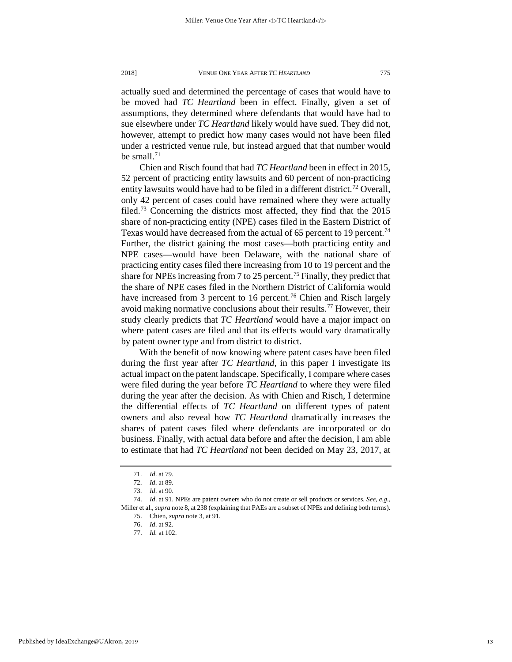actually sued and determined the percentage of cases that would have to be moved had *TC Heartland* been in effect. Finally, given a set of assumptions, they determined where defendants that would have had to sue elsewhere under *TC Heartland* likely would have sued. They did not, however, attempt to predict how many cases would not have been filed under a restricted venue rule, but instead argued that that number would be small.<sup>[71](#page-13-0)</sup>

Chien and Risch found that had *TC Heartland* been in effect in 2015, 52 percent of practicing entity lawsuits and 60 percent of non-practicing entity lawsuits would have had to be filed in a different district.<sup>[72](#page-13-1)</sup> Overall, only 42 percent of cases could have remained where they were actually filed.[73](#page-13-2) Concerning the districts most affected, they find that the 2015 share of non-practicing entity (NPE) cases filed in the Eastern District of Texas would have decreased from the actual of 65 percent to 19 percent.<sup>[74](#page-13-3)</sup> Further, the district gaining the most cases—both practicing entity and NPE cases—would have been Delaware, with the national share of practicing entity cases filed there increasing from 10 to 19 percent and the share for NPEs increasing from 7 to 25 percent.<sup>[75](#page-13-4)</sup> Finally, they predict that the share of NPE cases filed in the Northern District of California would have increased from 3 percent to 16 percent.<sup>[76](#page-13-5)</sup> Chien and Risch largely avoid making normative conclusions about their results.<sup>[77](#page-13-6)</sup> However, their study clearly predicts that *TC Heartland* would have a major impact on where patent cases are filed and that its effects would vary dramatically by patent owner type and from district to district.

With the benefit of now knowing where patent cases have been filed during the first year after *TC Heartland*, in this paper I investigate its actual impact on the patent landscape. Specifically, I compare where cases were filed during the year before *TC Heartland* to where they were filed during the year after the decision. As with Chien and Risch, I determine the differential effects of *TC Heartland* on different types of patent owners and also reveal how *TC Heartland* dramatically increases the shares of patent cases filed where defendants are incorporated or do business. Finally, with actual data before and after the decision, I am able to estimate that had *TC Heartland* not been decided on May 23, 2017, at

<sup>71.</sup> *Id*. at 79.

<sup>72.</sup> *Id*. at 89.

<sup>73.</sup> *Id*. at 90.

<span id="page-13-6"></span><span id="page-13-5"></span><span id="page-13-4"></span><span id="page-13-3"></span><span id="page-13-2"></span><span id="page-13-1"></span><span id="page-13-0"></span><sup>74.</sup> *Id*. at 91. NPEs are patent owners who do not create or sell products or services. *See, e.g*., Miller et al., *supra* note 8*,* at 238 (explaining that PAEs are a subset of NPEs and defining both terms).

<sup>75.</sup> Chien, *supra* note 3, at 91.

<sup>76.</sup> *Id*. at 92.

<sup>77.</sup> *Id.* at 102.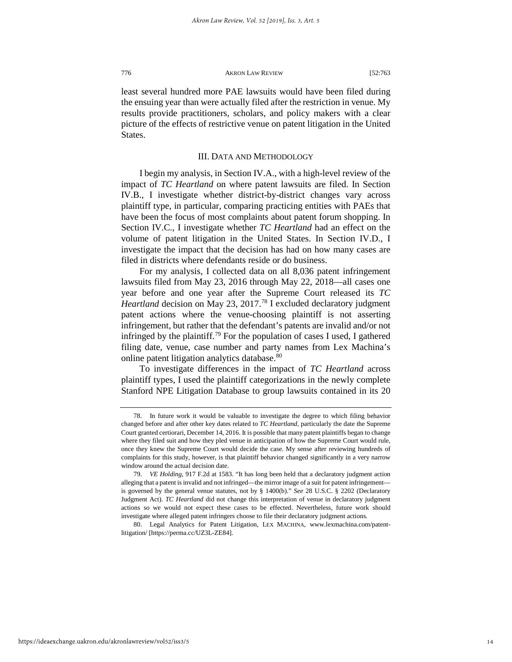least several hundred more PAE lawsuits would have been filed during the ensuing year than were actually filed after the restriction in venue. My results provide practitioners, scholars, and policy makers with a clear picture of the effects of restrictive venue on patent litigation in the United States.

## III. DATA AND METHODOLOGY

I begin my analysis, in Section IV.A., with a high-level review of the impact of *TC Heartland* on where patent lawsuits are filed. In Section IV.B., I investigate whether district-by-district changes vary across plaintiff type, in particular, comparing practicing entities with PAEs that have been the focus of most complaints about patent forum shopping. In Section IV.C., I investigate whether *TC Heartland* had an effect on the volume of patent litigation in the United States. In Section IV.D., I investigate the impact that the decision has had on how many cases are filed in districts where defendants reside or do business.

For my analysis, I collected data on all 8,036 patent infringement lawsuits filed from May 23, 2016 through May 22, 2018—all cases one year before and one year after the Supreme Court released its *TC Heartland* decision on May 23, 2017.<sup>[78](#page-14-0)</sup> I excluded declaratory judgment patent actions where the venue-choosing plaintiff is not asserting infringement, but rather that the defendant's patents are invalid and/or not infringed by the plaintiff.<sup>[79](#page-14-1)</sup> For the population of cases I used, I gathered filing date, venue, case number and party names from Lex Machina's online patent litigation analytics database.<sup>80</sup>

To investigate differences in the impact of *TC Heartland* across plaintiff types, I used the plaintiff categorizations in the newly complete Stanford NPE Litigation Database to group lawsuits contained in its 20

<span id="page-14-2"></span>80. Legal Analytics for Patent Litigation, LEX MACHINA, www.lexmachina.com/patentlitigation/ [https://perma.cc/UZ3L-ZE84].

<span id="page-14-0"></span><sup>78.</sup> In future work it would be valuable to investigate the degree to which filing behavior changed before and after other key dates related to *TC Heartland*, particularly the date the Supreme Court granted certiorari, December 14, 2016. It is possible that many patent plaintiffs began to change where they filed suit and how they pled venue in anticipation of how the Supreme Court would rule, once they knew the Supreme Court would decide the case. My sense after reviewing hundreds of complaints for this study, however, is that plaintiff behavior changed significantly in a very narrow window around the actual decision date.

<span id="page-14-1"></span><sup>79.</sup> *VE Holding*, 917 F.2d at 1583. "It has long been held that a declaratory judgment action alleging that a patent is invalid and not infringed—the mirror image of a suit for patent infringement is governed by the general venue statutes, not by § 1400(b)." *See* 28 U.S.C. § 2202 (Declaratory Judgment Act). *TC Heartland* did not change this interpretation of venue in declaratory judgment actions so we would not expect these cases to be effected. Nevertheless, future work should investigate where alleged patent infringers choose to file their declaratory judgment actions.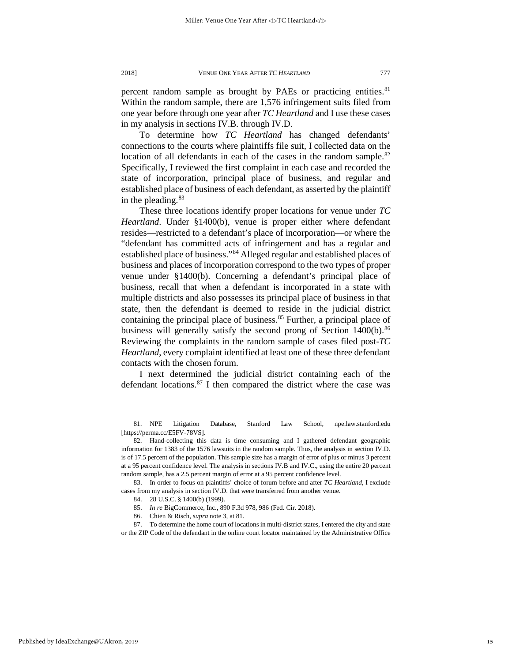percent random sample as brought by PAEs or practicing entities.<sup>[81](#page-15-0)</sup> Within the random sample, there are 1,576 infringement suits filed from one year before through one year after *TC Heartland* and I use these cases in my analysis in sections IV.B. through IV.D.

To determine how *TC Heartland* has changed defendants' connections to the courts where plaintiffs file suit, I collected data on the location of all defendants in each of the cases in the random sample.<sup>[82](#page-15-1)</sup> Specifically, I reviewed the first complaint in each case and recorded the state of incorporation, principal place of business, and regular and established place of business of each defendant, as asserted by the plaintiff in the pleading.  $83$ 

These three locations identify proper locations for venue under *TC Heartland*. Under §1400(b), venue is proper either where defendant resides—restricted to a defendant's place of incorporation—or where the "defendant has committed acts of infringement and has a regular and established place of business."[84](#page-15-3) Alleged regular and established places of business and places of incorporation correspond to the two types of proper venue under §1400(b). Concerning a defendant's principal place of business, recall that when a defendant is incorporated in a state with multiple districts and also possesses its principal place of business in that state, then the defendant is deemed to reside in the judicial district containing the principal place of business.<sup>[85](#page-15-4)</sup> Further, a principal place of business will generally satisfy the second prong of Section 1400(b).<sup>[86](#page-15-5)</sup> Reviewing the complaints in the random sample of cases filed post-*TC Heartland*, every complaint identified at least one of these three defendant contacts with the chosen forum.

I next determined the judicial district containing each of the defendant locations. $87$  I then compared the district where the case was

<span id="page-15-0"></span><sup>81.</sup> NPE Litigation Database, Stanford Law School, npe.law.stanford.edu [https://perma.cc/E5FV-78VS].

<span id="page-15-1"></span><sup>82.</sup> Hand-collecting this data is time consuming and I gathered defendant geographic information for 1383 of the 1576 lawsuits in the random sample. Thus, the analysis in section IV.D. is of 17.5 percent of the population. This sample size has a margin of error of plus or minus 3 percent at a 95 percent confidence level. The analysis in sections IV.B and IV.C., using the entire 20 percent random sample, has a 2.5 percent margin of error at a 95 percent confidence level.

<span id="page-15-3"></span><span id="page-15-2"></span><sup>83.</sup> In order to focus on plaintiffs' choice of forum before and after *TC Heartland*, I exclude cases from my analysis in section IV.D. that were transferred from another venue.

<sup>84.</sup> 28 U.S.C. § 1400(b) (1999).

<sup>85.</sup> *In re* BigCommerce, Inc., 890 F.3d 978, 986 (Fed. Cir. 2018).

<sup>86.</sup> Chien & Risch, *supra* note 3, at 81.

<span id="page-15-6"></span><span id="page-15-5"></span><span id="page-15-4"></span><sup>87.</sup> To determine the home court of locations in multi-district states, I entered the city and state or the ZIP Code of the defendant in the online court locator maintained by the Administrative Office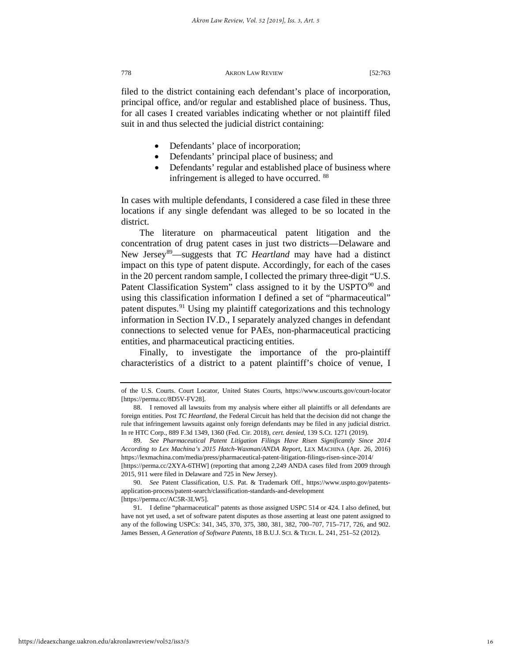filed to the district containing each defendant's place of incorporation, principal office, and/or regular and established place of business. Thus, for all cases I created variables indicating whether or not plaintiff filed suit in and thus selected the judicial district containing:

- Defendants' place of incorporation;
- Defendants' principal place of business; and
- Defendants' regular and established place of business where infringement is alleged to have occurred. [88](#page-16-0)

In cases with multiple defendants, I considered a case filed in these three locations if any single defendant was alleged to be so located in the district.

The literature on pharmaceutical patent litigation and the concentration of drug patent cases in just two districts—Delaware and New Jersey[89](#page-16-1)—suggests that *TC Heartland* may have had a distinct impact on this type of patent dispute. Accordingly, for each of the cases in the 20 percent random sample, I collected the primary three-digit "U.S. Patent Classification System" class assigned to it by the USPTO<sup>[90](#page-16-2)</sup> and using this classification information I defined a set of "pharmaceutical" patent disputes.<sup>[91](#page-16-3)</sup> Using my plaintiff categorizations and this technology information in Section IV.D., I separately analyzed changes in defendant connections to selected venue for PAEs, non-pharmaceutical practicing entities, and pharmaceutical practicing entities.

Finally, to investigate the importance of the pro-plaintiff characteristics of a district to a patent plaintiff's choice of venue, I

of the U.S. Courts. Court Locator, United States Courts, https://www.uscourts.gov/court-locator [https://perma.cc/8D5V-FV28].

<span id="page-16-0"></span><sup>88.</sup> I removed all lawsuits from my analysis where either all plaintiffs or all defendants are foreign entities. Post *TC Heartland*, the Federal Circuit has held that the decision did not change the rule that infringement lawsuits against only foreign defendants may be filed in any judicial district. In re HTC Corp., 889 F.3d 1349, 1360 (Fed. Cir. 2018), *cert. denied*, 139 S.Ct. 1271 (2019).

<span id="page-16-1"></span><sup>89.</sup> *See Pharmaceutical Patent Litigation Filings Have Risen Significantly Since 2014 According to Lex Machina's 2015 Hatch-Waxman/ANDA Report*, LEX MACHINA (Apr. 26, 2016) https://lexmachina.com/media/press/pharmaceutical-patent-litigation-filings-risen-since-2014/ [https://perma.cc/2XYA-6THW] (reporting that among 2,249 ANDA cases filed from 2009 through 2015, 911 were filed in Delaware and 725 in New Jersey).

<span id="page-16-2"></span><sup>90.</sup> *See* Patent Classification, U.S. Pat. & Trademark Off., https://www.uspto.gov/patentsapplication-process/patent-search/classification-standards-and-development

<sup>[</sup>https://perma.cc/AC5R-3LW5].

<span id="page-16-3"></span><sup>91.</sup> I define "pharmaceutical" patents as those assigned USPC 514 or 424. I also defined, but have not yet used, a set of software patent disputes as those asserting at least one patent assigned to any of the following USPCs: 341, 345, 370, 375, 380, 381, 382, 700–707, 715–717, 726, and 902. James Bessen, *A Generation of Software Patents*, 18 B.U.J. SCI. & TECH. L. 241, 251–52 (2012).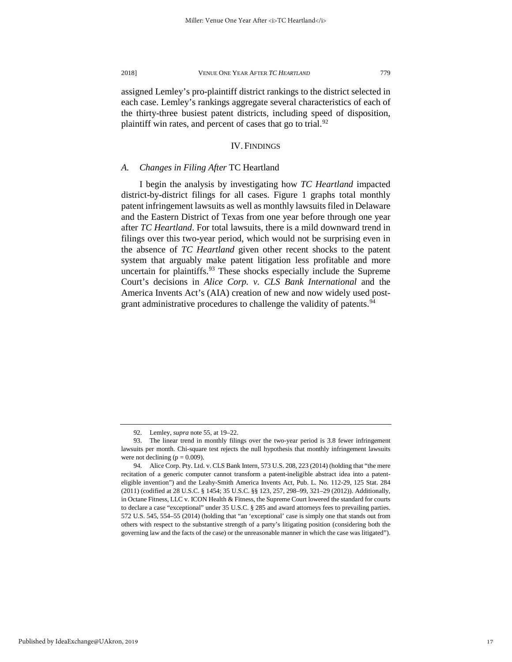assigned Lemley's pro-plaintiff district rankings to the district selected in each case. Lemley's rankings aggregate several characteristics of each of the thirty-three busiest patent districts, including speed of disposition, plaintiff win rates, and percent of cases that go to trial.<sup>[92](#page-17-0)</sup>

### IV. FINDINGS

#### *A. Changes in Filing After* TC Heartland

I begin the analysis by investigating how *TC Heartland* impacted district-by-district filings for all cases. Figure 1 graphs total monthly patent infringement lawsuits as well as monthly lawsuits filed in Delaware and the Eastern District of Texas from one year before through one year after *TC Heartland*. For total lawsuits, there is a mild downward trend in filings over this two-year period, which would not be surprising even in the absence of *TC Heartland* given other recent shocks to the patent system that arguably make patent litigation less profitable and more uncertain for plaintiffs. $93$  These shocks especially include the Supreme Court's decisions in *Alice Corp. v. CLS Bank International* and the America Invents Act's (AIA) creation of new and now widely used post-grant administrative procedures to challenge the validity of patents.<sup>[94](#page-17-2)</sup>

<sup>92.</sup> Lemley, *supra* note 55, at 19–22.

<span id="page-17-1"></span><span id="page-17-0"></span><sup>93.</sup> The linear trend in monthly filings over the two-year period is 3.8 fewer infringement lawsuits per month. Chi-square test rejects the null hypothesis that monthly infringement lawsuits were not declining  $(p = 0.009)$ .

<span id="page-17-2"></span><sup>94.</sup> Alice Corp. Pty. Ltd. v. CLS Bank Intern, 573 U.S. 208, 223 (2014) (holding that "the mere recitation of a generic computer cannot transform a patent-ineligible abstract idea into a patenteligible invention") and the Leahy-Smith America Invents Act, Pub. L. No. 112-29, 125 Stat. 284 (2011) (codified at 28 U.S.C. § 1454; 35 U.S.C. §§ 123, 257, 298–99, 321–29 (2012)). Additionally, in Octane Fitness, LLC v. ICON Health & Fitness, the Supreme Court lowered the standard for courts to declare a case "exceptional" under 35 U.S.C. § 285 and award attorneys fees to prevailing parties. 572 U.S. 545, 554–55 (2014) (holding that "an 'exceptional' case is simply one that stands out from others with respect to the substantive strength of a party's litigating position (considering both the governing law and the facts of the case) or the unreasonable manner in which the case was litigated").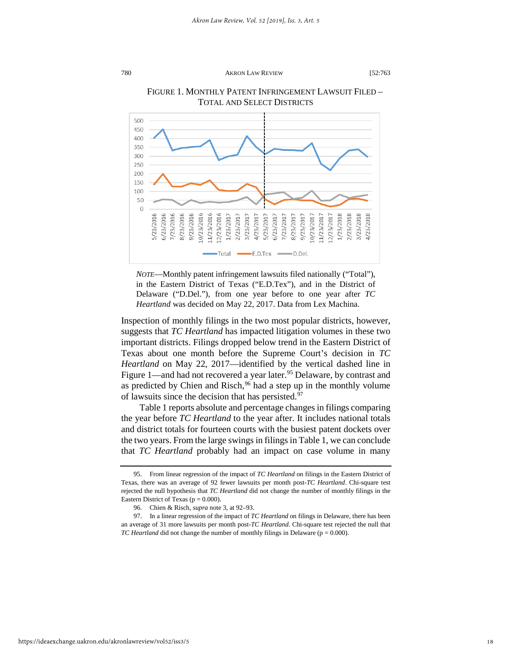

# FIGURE 1. MONTHLY PATENT INFRINGEMENT LAWSUIT FILED – TOTAL AND SELECT DISTRICTS

*NOTE*—Monthly patent infringement lawsuits filed nationally ("Total"), in the Eastern District of Texas ("E.D.Tex"), and in the District of Delaware ("D.Del."), from one year before to one year after *TC Heartland* was decided on May 22, 2017. Data from Lex Machina.

Inspection of monthly filings in the two most popular districts, however, suggests that *TC Heartland* has impacted litigation volumes in these two important districts. Filings dropped below trend in the Eastern District of Texas about one month before the Supreme Court's decision in *TC Heartland* on May 22, 2017—identified by the vertical dashed line in Figure 1—and had not recovered a year later.<sup>95</sup> Delaware, by contrast and as predicted by Chien and Risch,  $96$  had a step up in the monthly volume of lawsuits since the decision that has persisted. $97$ 

Table 1 reports absolute and percentage changes in filings comparing the year before *TC Heartland* to the year after. It includes national totals and district totals for fourteen courts with the busiest patent dockets over the two years. From the large swings in filings in Table 1, we can conclude that *TC Heartland* probably had an impact on case volume in many

<span id="page-18-0"></span><sup>95.</sup> From linear regression of the impact of *TC Heartland* on filings in the Eastern District of Texas, there was an average of 92 fewer lawsuits per month post-*TC Heartland*. Chi-square test rejected the null hypothesis that *TC Heartland* did not change the number of monthly filings in the Eastern District of Texas ( $p = 0.000$ ).

<sup>96.</sup> Chien & Risch, *supra* note 3, at 92–93.

<span id="page-18-2"></span><span id="page-18-1"></span><sup>97.</sup> In a linear regression of the impact of *TC Heartland* on filings in Delaware, there has been an average of 31 more lawsuits per month post-*TC Heartland*. Chi-square test rejected the null that *TC Heartland* did not change the number of monthly filings in Delaware ( $p = 0.000$ ).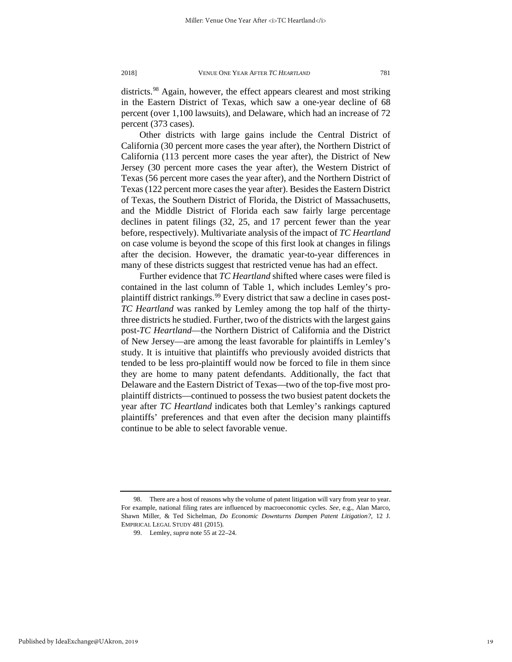districts.<sup>[98](#page-19-0)</sup> Again, however, the effect appears clearest and most striking in the Eastern District of Texas, which saw a one-year decline of 68 percent (over 1,100 lawsuits), and Delaware, which had an increase of 72 percent (373 cases).

Other districts with large gains include the Central District of California (30 percent more cases the year after), the Northern District of California (113 percent more cases the year after), the District of New Jersey (30 percent more cases the year after), the Western District of Texas (56 percent more cases the year after), and the Northern District of Texas (122 percent more cases the year after). Besides the Eastern District of Texas, the Southern District of Florida, the District of Massachusetts, and the Middle District of Florida each saw fairly large percentage declines in patent filings (32, 25, and 17 percent fewer than the year before, respectively). Multivariate analysis of the impact of *TC Heartland* on case volume is beyond the scope of this first look at changes in filings after the decision. However, the dramatic year-to-year differences in many of these districts suggest that restricted venue has had an effect.

Further evidence that *TC Heartland* shifted where cases were filed is contained in the last column of Table 1, which includes Lemley's pro-plaintiff district rankings.<sup>[99](#page-19-1)</sup> Every district that saw a decline in cases post-*TC Heartland* was ranked by Lemley among the top half of the thirtythree districts he studied. Further, two of the districts with the largest gains post-*TC Heartland*—the Northern District of California and the District of New Jersey—are among the least favorable for plaintiffs in Lemley's study. It is intuitive that plaintiffs who previously avoided districts that tended to be less pro-plaintiff would now be forced to file in them since they are home to many patent defendants. Additionally, the fact that Delaware and the Eastern District of Texas—two of the top-five most proplaintiff districts—continued to possess the two busiest patent dockets the year after *TC Heartland* indicates both that Lemley's rankings captured plaintiffs' preferences and that even after the decision many plaintiffs continue to be able to select favorable venue.

<span id="page-19-1"></span><span id="page-19-0"></span><sup>98.</sup> There are a host of reasons why the volume of patent litigation will vary from year to year. For example, national filing rates are influenced by macroeconomic cycles. *See*, e.g., Alan Marco, Shawn Miller, & Ted Sichelman, *Do Economic Downturns Dampen Patent Litigation?*, 12 J. EMPIRICAL LEGAL STUDY 481 (2015).

<sup>99.</sup> Lemley, *supra* note 55 at 22–24.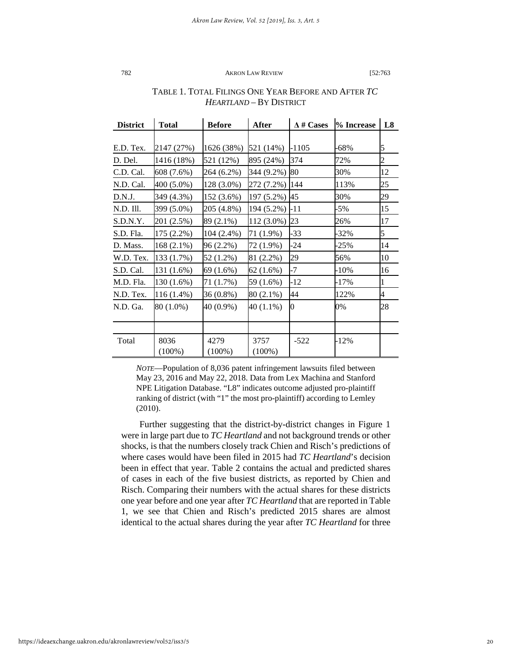| <b>District</b> | <b>Total</b> | <b>Before</b> | <b>After</b>  | $\Lambda$ # Cases | % Increase | L <sub>8</sub> |
|-----------------|--------------|---------------|---------------|-------------------|------------|----------------|
|                 |              |               |               |                   |            |                |
| E.D. Tex.       | 2147 (27%)   | 1626 (38%)    | 521 (14%)     | -1105             | -68%       | 5              |
| D. Del.         | 1416 (18%)   | 521 (12%)     | 895 (24%)     | 374               | 72%        | $\overline{c}$ |
| C.D. Cal.       | 608 (7.6%)   | 264 (6.2%)    | 344 (9.2%)    | 80                | 30%        | 12             |
| N.D. Cal.       | 400 (5.0%)   | 128 (3.0%)    | 272 (7.2%)    | 144               | 113%       | 25             |
| D.N.J.          | 349 (4.3%)   | 152 (3.6%)    | 197 (5.2%)    | 45                | 30%        | 29             |
| N.D. Ill.       | 399 (5.0%)   | 205 (4.8%)    | 194 (5.2%)    | -11               | $-5\%$     | 15             |
| S.D.N.Y.        | 201 (2.5%)   | 89 (2.1%)     | 112 (3.0%) 23 |                   | 26%        | 17             |
| S.D. Fla.       | 175 (2.2%)   | 104 (2.4%)    | 71 (1.9%)     | -33               | $-32%$     | 5              |
| D. Mass.        | 168 (2.1%)   | 96 (2.2%)     | 72 (1.9%)     | -24               | $-25%$     | 14             |
| W.D. Tex.       | 133 (1.7%)   | 52 (1.2%)     | 81 (2.2%)     | 29                | 56%        | 10             |
| S.D. Cal.       | 131 (1.6%)   | 69 (1.6%)     | 62(1.6%)      | -7                | -10%       | 16             |
| M.D. Fla.       | 130 (1.6%)   | 71 (1.7%)     | 59 (1.6%)     | -12               | -17%       | 1              |
| N.D. Tex.       | 116 (1.4%)   | 36 (0.8%)     | 80 (2.1%)     | 44                | 122%       | 4              |
| N.D. Ga.        | 80 (1.0%)    | 40 (0.9%)     | 40 (1.1%)     | O.                | 0%         | 28             |
|                 |              |               |               |                   |            |                |
|                 |              |               |               |                   |            |                |
| Total           | 8036         | 4279          | 3757          | $-522$            | -12%       |                |
|                 | $(100\%)$    | $(100\%)$     | $(100\%)$     |                   |            |                |

# TABLE 1. TOTAL FILINGS ONE YEAR BEFORE AND AFTER *TC HEARTLAND* – BY DISTRICT

*NOTE*—Population of 8,036 patent infringement lawsuits filed between May 23, 2016 and May 22, 2018. Data from Lex Machina and Stanford NPE Litigation Database. "L8" indicates outcome adjusted pro-plaintiff ranking of district (with "1" the most pro-plaintiff) according to Lemley (2010).

Further suggesting that the district-by-district changes in Figure 1 were in large part due to *TC Heartland* and not background trends or other shocks, is that the numbers closely track Chien and Risch's predictions of where cases would have been filed in 2015 had *TC Heartland*'s decision been in effect that year. Table 2 contains the actual and predicted shares of cases in each of the five busiest districts, as reported by Chien and Risch. Comparing their numbers with the actual shares for these districts one year before and one year after *TC Heartland* that are reported in Table 1, we see that Chien and Risch's predicted 2015 shares are almost identical to the actual shares during the year after *TC Heartland* for three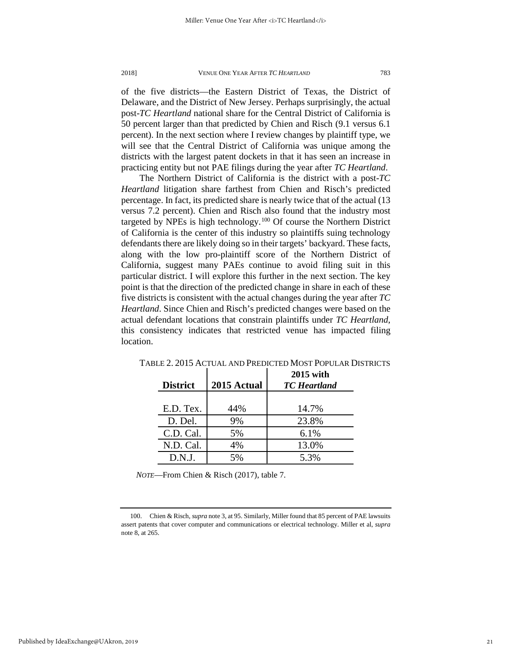of the five districts—the Eastern District of Texas, the District of Delaware, and the District of New Jersey. Perhaps surprisingly, the actual post-*TC Heartland* national share for the Central District of California is 50 percent larger than that predicted by Chien and Risch (9.1 versus 6.1 percent). In the next section where I review changes by plaintiff type, we will see that the Central District of California was unique among the districts with the largest patent dockets in that it has seen an increase in practicing entity but not PAE filings during the year after *TC Heartland*.

The Northern District of California is the district with a post-*TC Heartland* litigation share farthest from Chien and Risch's predicted percentage. In fact, its predicted share is nearly twice that of the actual (13 versus 7.2 percent). Chien and Risch also found that the industry most targeted by NPEs is high technology.<sup>[100](#page-21-0)</sup> Of course the Northern District of California is the center of this industry so plaintiffs suing technology defendants there are likely doing so in their targets' backyard. These facts, along with the low pro-plaintiff score of the Northern District of California, suggest many PAEs continue to avoid filing suit in this particular district. I will explore this further in the next section. The key point is that the direction of the predicted change in share in each of these five districts is consistent with the actual changes during the year after *TC Heartland*. Since Chien and Risch's predicted changes were based on the actual defendant locations that constrain plaintiffs under *TC Heartland*, this consistency indicates that restricted venue has impacted filing location.

| <b>District</b> | 2015 Actual | <b>2015</b> with<br><b>TC</b> Heartland |
|-----------------|-------------|-----------------------------------------|
|                 |             |                                         |
| E.D. Tex.       | 44%         | 14.7%                                   |
| D. Del.         | 9%          | 23.8%                                   |
| C.D. Cal.       | 5%          | 6.1%                                    |
| N.D. Cal.       | 4%          | 13.0%                                   |
| D.N.J.          | 5%          | 5.3%                                    |

TABLE 2. 2015 ACTUAL AND PREDICTED MOST POPULAR DISTRICTS

*NOTE*—From Chien & Risch (2017), table 7.

<span id="page-21-0"></span><sup>100.</sup> Chien & Risch, *supra* note 3, at 95. Similarly, Miller found that 85 percent of PAE lawsuits assert patents that cover computer and communications or electrical technology. Miller et al, *supra* note 8, at 265.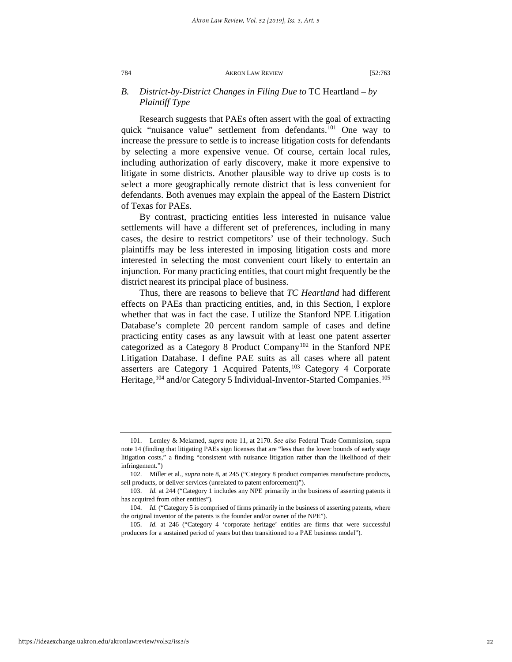# *B. District-by-District Changes in Filing Due to* TC Heartland *– by Plaintiff Type*

Research suggests that PAEs often assert with the goal of extracting quick "nuisance value" settlement from defendants.<sup>[101](#page-22-0)</sup> One way to increase the pressure to settle is to increase litigation costs for defendants by selecting a more expensive venue. Of course, certain local rules, including authorization of early discovery, make it more expensive to litigate in some districts. Another plausible way to drive up costs is to select a more geographically remote district that is less convenient for defendants. Both avenues may explain the appeal of the Eastern District of Texas for PAEs.

By contrast, practicing entities less interested in nuisance value settlements will have a different set of preferences, including in many cases, the desire to restrict competitors' use of their technology. Such plaintiffs may be less interested in imposing litigation costs and more interested in selecting the most convenient court likely to entertain an injunction. For many practicing entities, that court might frequently be the district nearest its principal place of business.

Thus, there are reasons to believe that *TC Heartland* had different effects on PAEs than practicing entities, and, in this Section, I explore whether that was in fact the case. I utilize the Stanford NPE Litigation Database's complete 20 percent random sample of cases and define practicing entity cases as any lawsuit with at least one patent asserter categorized as a Category 8 Product Company<sup>[102](#page-22-1)</sup> in the Stanford NPE Litigation Database. I define PAE suits as all cases where all patent asserters are Category 1 Acquired Patents,<sup>[103](#page-22-2)</sup> Category 4 Corporate Heritage,<sup>[104](#page-22-3)</sup> and/or Category 5 Individual-Inventor-Started Companies.<sup>105</sup>

<span id="page-22-0"></span><sup>101.</sup> Lemley & Melamed, *supra* note 11, at 2170. *See also* Federal Trade Commission, supra note 14 (finding that litigating PAEs sign licenses that are "less than the lower bounds of early stage litigation costs," a finding "consistent with nuisance litigation rather than the likelihood of their infringement.")

<span id="page-22-1"></span><sup>102.</sup> Miller et al., *supra* note 8, at 245 ("Category 8 product companies manufacture products, sell products, or deliver services (unrelated to patent enforcement)").

<span id="page-22-2"></span><sup>103.</sup> *Id.* at 244 ("Category 1 includes any NPE primarily in the business of asserting patents it has acquired from other entities").

<span id="page-22-3"></span><sup>104.</sup> *Id.* ("Category 5 is comprised of firms primarily in the business of asserting patents, where the original inventor of the patents is the founder and/or owner of the NPE").

<span id="page-22-4"></span><sup>105.</sup> *Id.* at 246 ("Category 4 'corporate heritage' entities are firms that were successful producers for a sustained period of years but then transitioned to a PAE business model").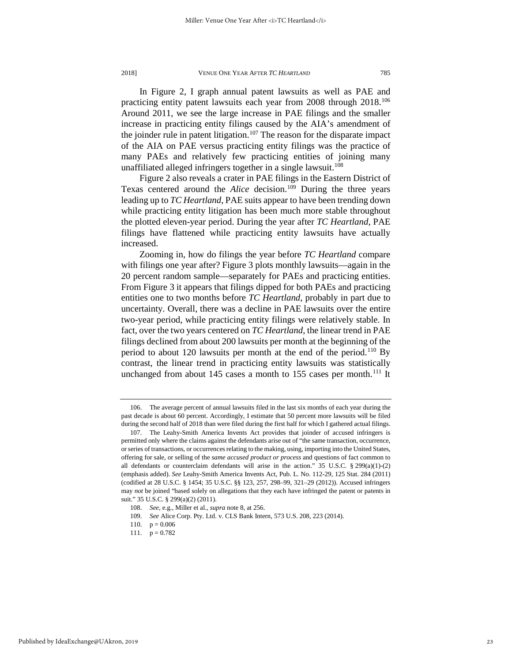In Figure 2, I graph annual patent lawsuits as well as PAE and practicing entity patent lawsuits each year from 2008 through 2018.<sup>106</sup> Around 2011, we see the large increase in PAE filings and the smaller increase in practicing entity filings caused by the AIA's amendment of the joinder rule in patent litigation.<sup>[107](#page-23-1)</sup> The reason for the disparate impact of the AIA on PAE versus practicing entity filings was the practice of many PAEs and relatively few practicing entities of joining many unaffiliated alleged infringers together in a single lawsuit.<sup>[108](#page-23-2)</sup>

Figure 2 also reveals a crater in PAE filings in the Eastern District of Texas centered around the *Alice* decision.<sup>[109](#page-23-3)</sup> During the three years leading up to *TC Heartland*, PAE suits appear to have been trending down while practicing entity litigation has been much more stable throughout the plotted eleven-year period. During the year after *TC Heartland*, PAE filings have flattened while practicing entity lawsuits have actually increased.

Zooming in, how do filings the year before *TC Heartland* compare with filings one year after? Figure 3 plots monthly lawsuits—again in the 20 percent random sample—separately for PAEs and practicing entities. From Figure 3 it appears that filings dipped for both PAEs and practicing entities one to two months before *TC Heartland*, probably in part due to uncertainty. Overall, there was a decline in PAE lawsuits over the entire two-year period, while practicing entity filings were relatively stable. In fact, over the two years centered on *TC Heartland*, the linear trend in PAE filings declined from about 200 lawsuits per month at the beginning of the period to about 120 lawsuits per month at the end of the period.<sup>[110](#page-23-4)</sup> By contrast, the linear trend in practicing entity lawsuits was statistically unchanged from about 145 cases a month to 155 cases per month.<sup>[111](#page-23-5)</sup> It

<span id="page-23-0"></span><sup>106.</sup> The average percent of annual lawsuits filed in the last six months of each year during the past decade is about 60 percent. Accordingly, I estimate that 50 percent more lawsuits will be filed during the second half of 2018 than were filed during the first half for which I gathered actual filings.

<span id="page-23-1"></span><sup>107.</sup> The Leahy-Smith America Invents Act provides that joinder of accused infringers is permitted only where the claims against the defendants arise out of "the same transaction, occurrence, or series of transactions, or occurrences relating to the making, using, importing into the United States, offering for sale, or selling of the *same accused product or process* and questions of fact common to all defendants or counterclaim defendants will arise in the action." 35 U.S.C. § 299(a)(1)-(2) (emphasis added). *See* Leahy-Smith America Invents Act, Pub. L. No. 112-29, 125 Stat. 284 (2011) (codified at 28 U.S.C. § 1454; 35 U.S.C. §§ 123, 257, 298–99, 321–29 (2012)). Accused infringers may *not* be joined "based solely on allegations that they each have infringed the patent or patents in suit." 35 U.S.C. § 299(a)(2) (2011).

<span id="page-23-2"></span><sup>108.</sup> *See*, e.g., Miller et al., *supra* note 8, at 256.

<sup>109.</sup> *See* Alice Corp. Pty. Ltd. v. CLS Bank Intern, 573 U.S. 208, 223 (2014).

<span id="page-23-4"></span><span id="page-23-3"></span><sup>110.</sup>  $p = 0.006$ 

<span id="page-23-5"></span><sup>111.</sup>  $p = 0.782$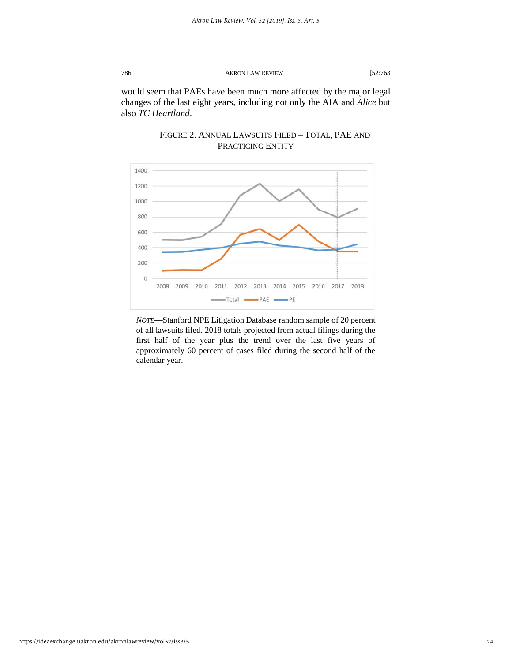would seem that PAEs have been much more affected by the major legal changes of the last eight years, including not only the AIA and *Alice* but also *TC Heartland*.



# FIGURE 2. ANNUAL LAWSUITS FILED – TOTAL, PAE AND PRACTICING ENTITY

*NOTE*—Stanford NPE Litigation Database random sample of 20 percent of all lawsuits filed. 2018 totals projected from actual filings during the first half of the year plus the trend over the last five years of approximately 60 percent of cases filed during the second half of the calendar year.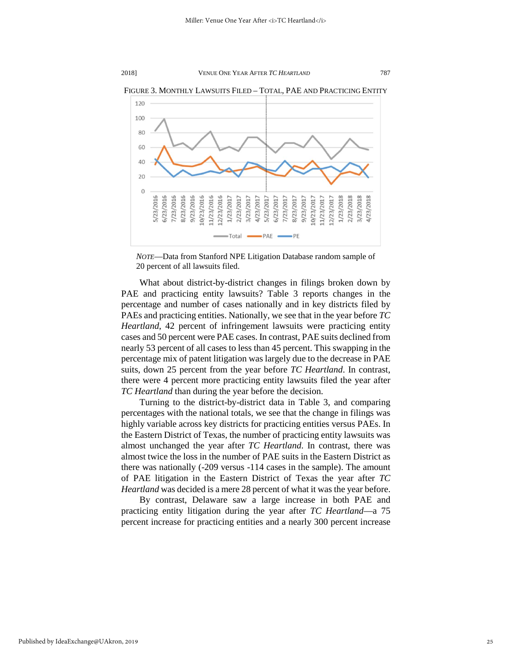

FIGURE 3. MONTHLY LAWSUITS FILED – TOTAL, PAE AND PRACTICING ENTITY

What about district-by-district changes in filings broken down by PAE and practicing entity lawsuits? Table 3 reports changes in the percentage and number of cases nationally and in key districts filed by PAEs and practicing entities. Nationally, we see that in the year before *TC Heartland*, 42 percent of infringement lawsuits were practicing entity cases and 50 percent were PAE cases. In contrast, PAE suits declined from nearly 53 percent of all cases to less than 45 percent. This swapping in the percentage mix of patent litigation was largely due to the decrease in PAE suits, down 25 percent from the year before *TC Heartland*. In contrast, there were 4 percent more practicing entity lawsuits filed the year after *TC Heartland* than during the year before the decision.

Turning to the district-by-district data in Table 3, and comparing percentages with the national totals, we see that the change in filings was highly variable across key districts for practicing entities versus PAEs. In the Eastern District of Texas, the number of practicing entity lawsuits was almost unchanged the year after *TC Heartland*. In contrast, there was almost twice the loss in the number of PAE suits in the Eastern District as there was nationally (-209 versus -114 cases in the sample). The amount of PAE litigation in the Eastern District of Texas the year after *TC Heartland* was decided is a mere 28 percent of what it was the year before.

By contrast, Delaware saw a large increase in both PAE and practicing entity litigation during the year after *TC Heartland*—a 75 percent increase for practicing entities and a nearly 300 percent increase

*NOTE*—Data from Stanford NPE Litigation Database random sample of 20 percent of all lawsuits filed.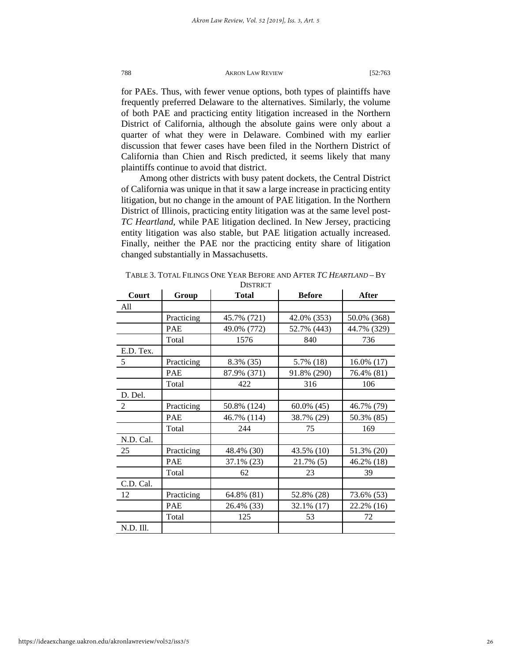for PAEs. Thus, with fewer venue options, both types of plaintiffs have frequently preferred Delaware to the alternatives. Similarly, the volume of both PAE and practicing entity litigation increased in the Northern District of California, although the absolute gains were only about a quarter of what they were in Delaware. Combined with my earlier discussion that fewer cases have been filed in the Northern District of California than Chien and Risch predicted, it seems likely that many plaintiffs continue to avoid that district.

Among other districts with busy patent dockets, the Central District of California was unique in that it saw a large increase in practicing entity litigation, but no change in the amount of PAE litigation. In the Northern District of Illinois, practicing entity litigation was at the same level post-*TC Heartland*, while PAE litigation declined. In New Jersey, practicing entity litigation was also stable, but PAE litigation actually increased. Finally, neither the PAE nor the practicing entity share of litigation changed substantially in Massachusetts.

| Court          | Group      | <b>Total</b> | <b>Before</b> | After       |
|----------------|------------|--------------|---------------|-------------|
| All            |            |              |               |             |
|                | Practicing | 45.7% (721)  | 42.0% (353)   | 50.0% (368) |
|                | <b>PAE</b> | 49.0% (772)  | 52.7% (443)   | 44.7% (329) |
|                | Total      | 1576         | 840           | 736         |
| E.D. Tex.      |            |              |               |             |
| 5              | Practicing | 8.3% (35)    | 5.7% (18)     | 16.0% (17)  |
|                | <b>PAE</b> | 87.9% (371)  | 91.8% (290)   | 76.4% (81)  |
|                | Total      | 422          | 316           | 106         |
| D. Del.        |            |              |               |             |
| $\overline{2}$ | Practicing | 50.8% (124)  | $60.0\%$ (45) | 46.7% (79)  |
|                | PAE        | 46.7% (114)  | 38.7% (29)    | 50.3% (85)  |
|                | Total      | 244          | 75            | 169         |
| N.D. Cal.      |            |              |               |             |
| 25             | Practicing | 48.4% (30)   | 43.5% (10)    | 51.3% (20)  |
|                | <b>PAE</b> | 37.1% (23)   | 21.7% (5)     | 46.2% (18)  |
|                | Total      | 62           | 23            | 39          |
| C.D. Cal.      |            |              |               |             |
| 12             | Practicing | 64.8% (81)   | 52.8% (28)    | 73.6% (53)  |
|                | <b>PAE</b> | 26.4% (33)   | 32.1% (17)    | 22.2% (16)  |
|                | Total      | 125          | 53            | 72          |
| N.D. Ill.      |            |              |               |             |

TABLE 3. TOTAL FILINGS ONE YEAR BEFORE AND AFTER *TC HEARTLAND* – BY **DISTRICT**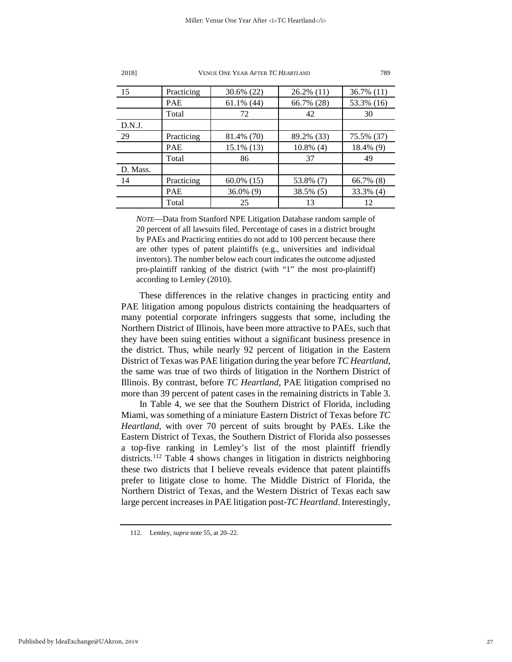| 15       | Practicing | 30.6% (22)    | $26.2\%$ (11) | 36.7% (11) |
|----------|------------|---------------|---------------|------------|
|          | <b>PAE</b> | $61.1\%$ (44) | 66.7% (28)    | 53.3% (16) |
|          | Total      | 72            | 42            | 30         |
| D.N.J.   |            |               |               |            |
| 29       | Practicing | 81.4% (70)    | 89.2% (33)    | 75.5% (37) |
|          | <b>PAE</b> | $15.1\%$ (13) | $10.8\%$ (4)  | 18.4% (9)  |
|          | Total      | 86            | 37            | 49         |
| D. Mass. |            |               |               |            |
| 14       | Practicing | $60.0\%$ (15) | 53.8% (7)     | 66.7% (8)  |
|          | <b>PAE</b> | 36.0% (9)     | 38.5% (5)     | 33.3% (4)  |
|          | Total      | 25            | 13            | 12         |

*NOTE*—Data from Stanford NPE Litigation Database random sample of 20 percent of all lawsuits filed. Percentage of cases in a district brought by PAEs and Practicing entities do not add to 100 percent because there are other types of patent plaintiffs (e.g., universities and individual inventors). The number below each court indicates the outcome adjusted pro-plaintiff ranking of the district (with "1" the most pro-plaintiff) according to Lemley (2010).

These differences in the relative changes in practicing entity and PAE litigation among populous districts containing the headquarters of many potential corporate infringers suggests that some, including the Northern District of Illinois, have been more attractive to PAEs, such that they have been suing entities without a significant business presence in the district. Thus, while nearly 92 percent of litigation in the Eastern District of Texas was PAE litigation during the year before *TC Heartland*, the same was true of two thirds of litigation in the Northern District of Illinois. By contrast, before *TC Heartland*, PAE litigation comprised no more than 39 percent of patent cases in the remaining districts in Table 3.

In Table 4, we see that the Southern District of Florida, including Miami, was something of a miniature Eastern District of Texas before *TC Heartland*, with over 70 percent of suits brought by PAEs. Like the Eastern District of Texas, the Southern District of Florida also possesses a top-five ranking in Lemley's list of the most plaintiff friendly districts.<sup>[112](#page-27-0)</sup> Table 4 shows changes in litigation in districts neighboring these two districts that I believe reveals evidence that patent plaintiffs prefer to litigate close to home. The Middle District of Florida, the Northern District of Texas, and the Western District of Texas each saw large percent increases in PAE litigation post-*TC Heartland*. Interestingly,

2018] VENUE ONE YEAR AFTER *TC HEARTLAND* 789

<span id="page-27-0"></span><sup>112.</sup> Lemley, *supra* note 55, at 20–22.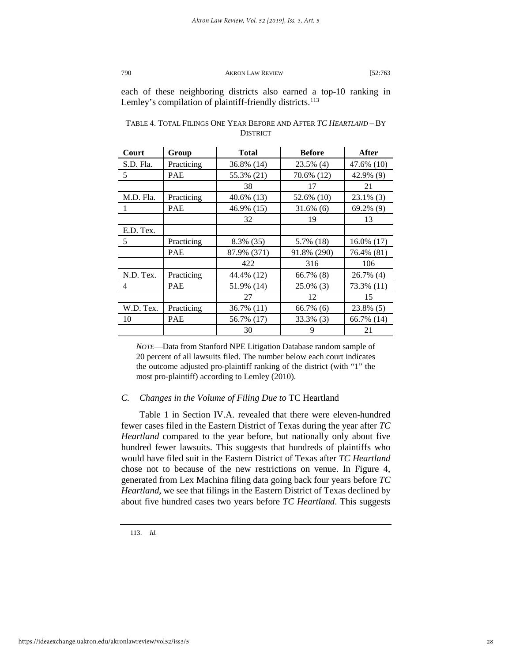each of these neighboring districts also earned a top-10 ranking in Lemley's compilation of plaintiff-friendly districts.<sup>[113](#page-28-0)</sup>

| Court          | Group      | <b>Total</b> | <b>Before</b> | After        |
|----------------|------------|--------------|---------------|--------------|
| S.D. Fla.      | Practicing | 36.8% (14)   | 23.5% (4)     | 47.6% (10)   |
| 5              | PAE        | 55.3% (21)   | 70.6% (12)    | 42.9% (9)    |
|                |            | 38           | 17            | 21           |
| M.D. Fla.      | Practicing | 40.6% (13)   | 52.6% (10)    | $23.1\%$ (3) |
| 1              | PAE        | 46.9% (15)   | $31.6\%$ (6)  | 69.2% (9)    |
|                |            | 32           | 19            | 13           |
| E.D. Tex.      |            |              |               |              |
| 5              | Practicing | 8.3% (35)    | 5.7% (18)     | 16.0% (17)   |
|                | <b>PAE</b> | 87.9% (371)  | 91.8% (290)   | 76.4% (81)   |
|                |            | 422          | 316           | 106          |
| N.D. Tex.      | Practicing | 44.4% (12)   | 66.7% (8)     | 26.7% (4)    |
| $\overline{4}$ | PAE        | 51.9% (14)   | $25.0\%$ (3)  | 73.3% (11)   |
|                |            | 27           | 12            | 15           |
| W.D. Tex.      | Practicing | 36.7% (11)   | $66.7\%$ (6)  | 23.8% (5)    |
| 10             | PAE        | 56.7% (17)   | 33.3% (3)     | 66.7% (14)   |
|                |            | 30           | 9             | 21           |

| TABLE 4. TOTAL FILINGS ONE YEAR BEFORE AND AFTER TC HEARTLAND - BY |
|--------------------------------------------------------------------|
| <b>DISTRICT</b>                                                    |

*NOTE*—Data from Stanford NPE Litigation Database random sample of 20 percent of all lawsuits filed. The number below each court indicates the outcome adjusted pro-plaintiff ranking of the district (with "1" the most pro-plaintiff) according to Lemley (2010).

#### *C. Changes in the Volume of Filing Due to* TC Heartland

Table 1 in Section IV.A. revealed that there were eleven-hundred fewer cases filed in the Eastern District of Texas during the year after *TC Heartland* compared to the year before, but nationally only about five hundred fewer lawsuits. This suggests that hundreds of plaintiffs who would have filed suit in the Eastern District of Texas after *TC Heartland* chose not to because of the new restrictions on venue. In Figure 4, generated from Lex Machina filing data going back four years before *TC Heartland*, we see that filings in the Eastern District of Texas declined by about five hundred cases two years before *TC Heartland*. This suggests

<span id="page-28-0"></span>113. *Id.*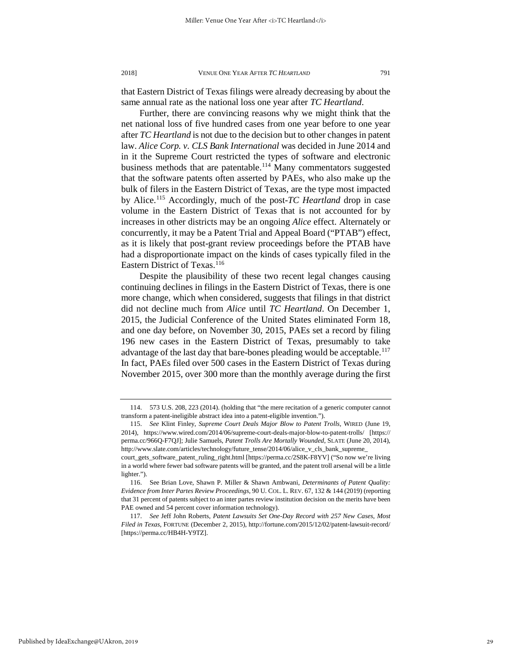that Eastern District of Texas filings were already decreasing by about the same annual rate as the national loss one year after *TC Heartland*.

Further, there are convincing reasons why we might think that the net national loss of five hundred cases from one year before to one year after *TC Heartland* is not due to the decision but to other changes in patent law. *Alice Corp. v. CLS Bank International* was decided in June 2014 and in it the Supreme Court restricted the types of software and electronic business methods that are patentable.<sup>114</sup> Many commentators suggested that the software patents often asserted by PAEs, who also make up the bulk of filers in the Eastern District of Texas, are the type most impacted by Alice.[115](#page-29-1) Accordingly, much of the post-*TC Heartland* drop in case volume in the Eastern District of Texas that is not accounted for by increases in other districts may be an ongoing *Alice* effect. Alternately or concurrently, it may be a Patent Trial and Appeal Board ("PTAB") effect, as it is likely that post-grant review proceedings before the PTAB have had a disproportionate impact on the kinds of cases typically filed in the Eastern District of Texas.<sup>[116](#page-29-2)</sup>

Despite the plausibility of these two recent legal changes causing continuing declines in filings in the Eastern District of Texas, there is one more change, which when considered, suggests that filings in that district did not decline much from *Alice* until *TC Heartland*. On December 1, 2015, the Judicial Conference of the United States eliminated Form 18, and one day before, on November 30, 2015, PAEs set a record by filing 196 new cases in the Eastern District of Texas, presumably to take advantage of the last day that bare-bones pleading would be acceptable.<sup>117</sup> In fact, PAEs filed over 500 cases in the Eastern District of Texas during November 2015, over 300 more than the monthly average during the first

<span id="page-29-0"></span><sup>114. 573</sup> U.S. 208, 223 (2014). (holding that "the mere recitation of a generic computer cannot transform a patent-ineligible abstract idea into a patent-eligible invention.").

<span id="page-29-1"></span><sup>115.</sup> *See* Klint Finley, *Supreme Court Deals Major Blow to Patent Trolls*, WIRED (June 19, 2014), https://www.wired.com/2014/06/supreme-court-deals-major-blow-to-patent-trolls/ [https:// perma.cc/966Q-F7QJ]; Julie Samuels, *Patent Trolls Are Mortally Wounded*, SLATE (June 20, 2014), http://www.slate.com/articles/technology/future\_tense/2014/06/alice\_v\_cls\_bank\_supreme\_ court\_gets\_software\_patent\_ruling\_right.html [https://perma.cc/2S8K-F8YV] ("So now we're living

in a world where fewer bad software patents will be granted, and the patent troll arsenal will be a little lighter.").

<span id="page-29-2"></span><sup>116.</sup> See Brian Love, Shawn P. Miller & Shawn Ambwani, *Determinants of Patent Quality: Evidence from Inter Partes Review Proceedings*, 90 U. COL. L. REV. 67, 132 & 144 (2019) (reporting that 31 percent of patents subject to an inter partes review institution decision on the merits have been PAE owned and 54 percent cover information technology).

<span id="page-29-3"></span><sup>117.</sup> *See* Jeff John Roberts, *Patent Lawsuits Set One-Day Record with 257 New Cases, Most Filed in Texas*, FORTUNE (December 2, 2015), http://fortune.com/2015/12/02/patent-lawsuit-record/ [https://perma.cc/HB4H-Y9TZ].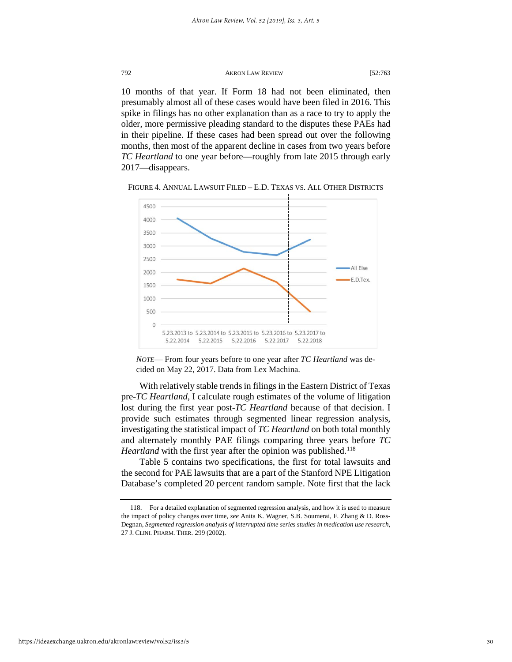10 months of that year. If Form 18 had not been eliminated, then presumably almost all of these cases would have been filed in 2016. This spike in filings has no other explanation than as a race to try to apply the older, more permissive pleading standard to the disputes these PAEs had in their pipeline. If these cases had been spread out over the following months, then most of the apparent decline in cases from two years before *TC Heartland* to one year before—roughly from late 2015 through early 2017—disappears.



FIGURE 4. ANNUAL LAWSUIT FILED – E.D. TEXAS VS. ALL OTHER DISTRICTS



With relatively stable trends in filings in the Eastern District of Texas pre-*TC Heartland*, I calculate rough estimates of the volume of litigation lost during the first year post-*TC Heartland* because of that decision. I provide such estimates through segmented linear regression analysis, investigating the statistical impact of *TC Heartland* on both total monthly and alternately monthly PAE filings comparing three years before *TC Heartland* with the first year after the opinion was published.<sup>[118](#page-30-0)</sup>

Table 5 contains two specifications, the first for total lawsuits and the second for PAE lawsuits that are a part of the Stanford NPE Litigation Database's completed 20 percent random sample. Note first that the lack

<span id="page-30-0"></span><sup>118.</sup> For a detailed explanation of segmented regression analysis, and how it is used to measure the impact of policy changes over time, *see* Anita K. Wagner, S.B. Soumerai, F. Zhang & D. Ross-Degnan, *Segmented regression analysis of interrupted time series studies in medication use research*, 27 J. CLINI. PHARM. THER. 299 (2002).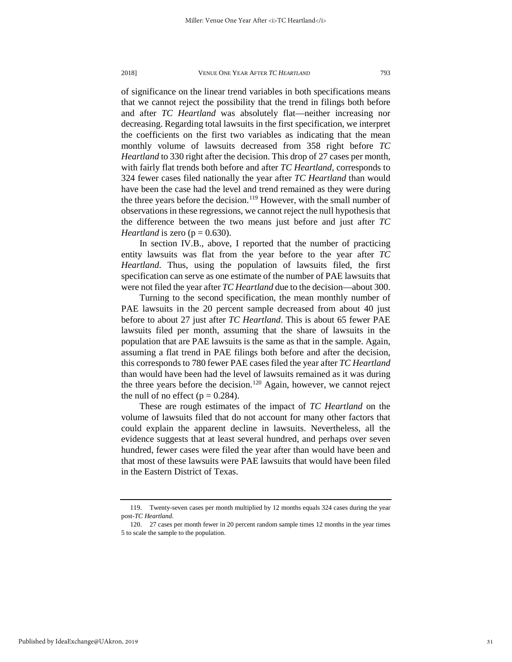of significance on the linear trend variables in both specifications means that we cannot reject the possibility that the trend in filings both before and after *TC Heartland* was absolutely flat—neither increasing nor decreasing. Regarding total lawsuits in the first specification, we interpret the coefficients on the first two variables as indicating that the mean monthly volume of lawsuits decreased from 358 right before *TC Heartland* to 330 right after the decision. This drop of 27 cases per month, with fairly flat trends both before and after *TC Heartland*, corresponds to 324 fewer cases filed nationally the year after *TC Heartland* than would have been the case had the level and trend remained as they were during the three years before the decision.<sup>[119](#page-31-0)</sup> However, with the small number of observations in these regressions, we cannot reject the null hypothesis that the difference between the two means just before and just after *TC Heartland* is zero ( $p = 0.630$ ).

In section IV.B., above, I reported that the number of practicing entity lawsuits was flat from the year before to the year after *TC Heartland*. Thus, using the population of lawsuits filed, the first specification can serve as one estimate of the number of PAE lawsuits that were not filed the year after *TC Heartland* due to the decision—about 300.

Turning to the second specification, the mean monthly number of PAE lawsuits in the 20 percent sample decreased from about 40 just before to about 27 just after *TC Heartland*. This is about 65 fewer PAE lawsuits filed per month, assuming that the share of lawsuits in the population that are PAE lawsuits is the same as that in the sample. Again, assuming a flat trend in PAE filings both before and after the decision, this corresponds to 780 fewer PAE cases filed the year after *TC Heartland* than would have been had the level of lawsuits remained as it was during the three years before the decision.<sup>[120](#page-31-1)</sup> Again, however, we cannot reject the null of no effect ( $p = 0.284$ ).

These are rough estimates of the impact of *TC Heartland* on the volume of lawsuits filed that do not account for many other factors that could explain the apparent decline in lawsuits. Nevertheless, all the evidence suggests that at least several hundred, and perhaps over seven hundred, fewer cases were filed the year after than would have been and that most of these lawsuits were PAE lawsuits that would have been filed in the Eastern District of Texas.

Published by IdeaExchange@UAkron, 2019

<span id="page-31-0"></span><sup>119.</sup> Twenty-seven cases per month multiplied by 12 months equals 324 cases during the year post-*TC Heartland*.

<span id="page-31-1"></span><sup>120. 27</sup> cases per month fewer in 20 percent random sample times 12 months in the year times 5 to scale the sample to the population.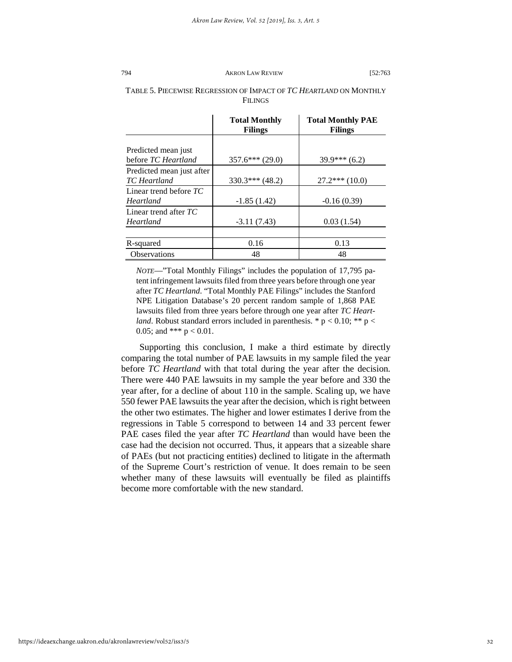# TABLE 5. PIECEWISE REGRESSION OF IMPACT OF *TC HEARTLAND* ON MONTHLY FILINGS

|                                           | <b>Total Monthly</b><br><b>Filings</b> | <b>Total Monthly PAE</b><br><b>Filings</b> |
|-------------------------------------------|----------------------------------------|--------------------------------------------|
| Predicted mean just                       |                                        |                                            |
| before TC Heartland                       | $357.6***(29.0)$                       | $39.9***(6.2)$                             |
| Predicted mean just after<br>TC Heartland | $330.3***$ (48.2)                      | $27.2***(10.0)$                            |
| Linear trend before $TC$<br>Heartland     | $-1.85(1.42)$                          | $-0.16(0.39)$                              |
| Linear trend after $TC$<br>Heartland      | $-3.11(7.43)$                          | 0.03(1.54)                                 |
|                                           |                                        |                                            |
| R-squared                                 | 0.16                                   | 0.13                                       |
| <b>Observations</b>                       | 48                                     | 48                                         |

*NOTE*—"Total Monthly Filings" includes the population of 17,795 patent infringement lawsuits filed from three years before through one year after *TC Heartland*. "Total Monthly PAE Filings" includes the Stanford NPE Litigation Database's 20 percent random sample of 1,868 PAE lawsuits filed from three years before through one year after *TC Heartland*. Robust standard errors included in parenthesis. \*  $p < 0.10$ ; \*\*  $p <$ 0.05; and \*\*\*  $p < 0.01$ .

Supporting this conclusion, I make a third estimate by directly comparing the total number of PAE lawsuits in my sample filed the year before *TC Heartland* with that total during the year after the decision. There were 440 PAE lawsuits in my sample the year before and 330 the year after, for a decline of about 110 in the sample. Scaling up, we have 550 fewer PAE lawsuits the year after the decision, which is right between the other two estimates. The higher and lower estimates I derive from the regressions in Table 5 correspond to between 14 and 33 percent fewer PAE cases filed the year after *TC Heartland* than would have been the case had the decision not occurred. Thus, it appears that a sizeable share of PAEs (but not practicing entities) declined to litigate in the aftermath of the Supreme Court's restriction of venue. It does remain to be seen whether many of these lawsuits will eventually be filed as plaintiffs become more comfortable with the new standard.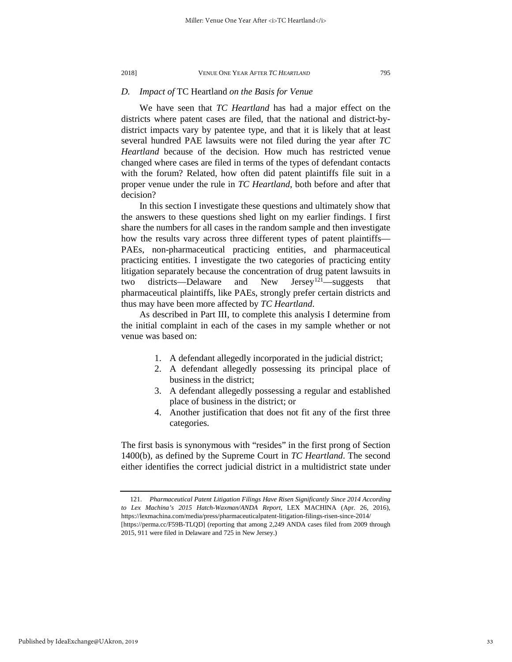# *D. Impact of* TC Heartland *on the Basis for Venue*

We have seen that *TC Heartland* has had a major effect on the districts where patent cases are filed, that the national and district-bydistrict impacts vary by patentee type, and that it is likely that at least several hundred PAE lawsuits were not filed during the year after *TC Heartland* because of the decision. How much has restricted venue changed where cases are filed in terms of the types of defendant contacts with the forum? Related, how often did patent plaintiffs file suit in a proper venue under the rule in *TC Heartland*, both before and after that decision?

In this section I investigate these questions and ultimately show that the answers to these questions shed light on my earlier findings. I first share the numbers for all cases in the random sample and then investigate how the results vary across three different types of patent plaintiffs— PAEs, non-pharmaceutical practicing entities, and pharmaceutical practicing entities. I investigate the two categories of practicing entity litigation separately because the concentration of drug patent lawsuits in two districts—Delaware and New Jersey<sup>121</sup>—suggests that pharmaceutical plaintiffs, like PAEs, strongly prefer certain districts and thus may have been more affected by *TC Heartland*.

As described in Part III, to complete this analysis I determine from the initial complaint in each of the cases in my sample whether or not venue was based on:

- 1. A defendant allegedly incorporated in the judicial district;
- 2. A defendant allegedly possessing its principal place of business in the district;
- 3. A defendant allegedly possessing a regular and established place of business in the district; or
- 4. Another justification that does not fit any of the first three categories.

The first basis is synonymous with "resides" in the first prong of Section 1400(b), as defined by the Supreme Court in *TC Heartland*. The second either identifies the correct judicial district in a multidistrict state under

<span id="page-33-0"></span>

<sup>121.</sup> *Pharmaceutical Patent Litigation Filings Have Risen Significantly Since 2014 According to Lex Machina's 2015 Hatch-Waxman/ANDA Report*, LEX MACHINA (Apr. 26, 2016), https://lexmachina.com/media/press/pharmaceuticalpatent-litigation-filings-risen-since-2014/ [https://perma.cc/F59B-TLQD] (reporting that among 2,249 ANDA cases filed from 2009 through 2015, 911 were filed in Delaware and 725 in New Jersey.)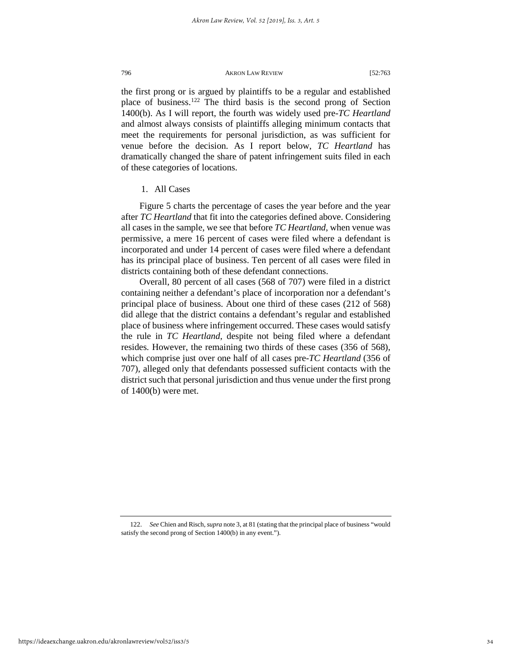the first prong or is argued by plaintiffs to be a regular and established place of business.[122](#page-34-0) The third basis is the second prong of Section 1400(b). As I will report, the fourth was widely used pre-*TC Heartland* and almost always consists of plaintiffs alleging minimum contacts that meet the requirements for personal jurisdiction, as was sufficient for venue before the decision. As I report below, *TC Heartland* has dramatically changed the share of patent infringement suits filed in each of these categories of locations.

### 1. All Cases

Figure 5 charts the percentage of cases the year before and the year after *TC Heartland* that fit into the categories defined above. Considering all cases in the sample, we see that before *TC Heartland*, when venue was permissive, a mere 16 percent of cases were filed where a defendant is incorporated and under 14 percent of cases were filed where a defendant has its principal place of business. Ten percent of all cases were filed in districts containing both of these defendant connections.

Overall, 80 percent of all cases (568 of 707) were filed in a district containing neither a defendant's place of incorporation nor a defendant's principal place of business. About one third of these cases (212 of 568) did allege that the district contains a defendant's regular and established place of business where infringement occurred. These cases would satisfy the rule in *TC Heartland*, despite not being filed where a defendant resides. However, the remaining two thirds of these cases (356 of 568), which comprise just over one half of all cases pre-*TC Heartland* (356 of 707), alleged only that defendants possessed sufficient contacts with the district such that personal jurisdiction and thus venue under the first prong of 1400(b) were met.

<span id="page-34-0"></span><sup>122.</sup> *See* Chien and Risch, *supra* note 3, at 81 (stating that the principal place of business "would satisfy the second prong of Section 1400(b) in any event.").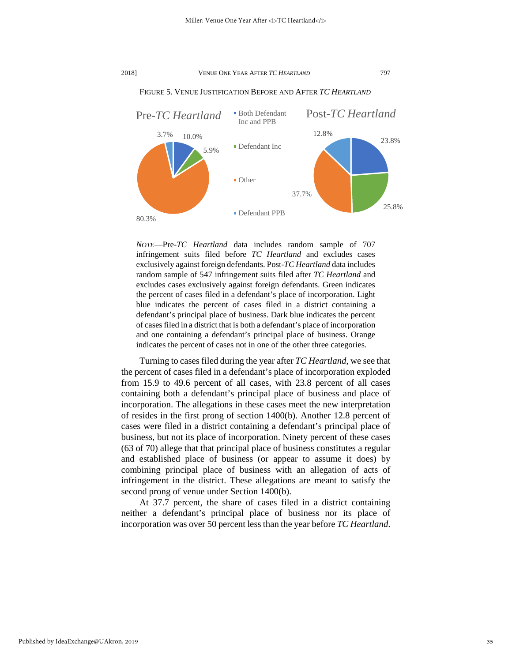

FIGURE 5. VENUE JUSTIFICATION BEFORE AND AFTER *TC HEARTLAND*

*NOTE*—Pre*-TC Heartland* data includes random sample of 707 infringement suits filed before *TC Heartland* and excludes cases exclusively against foreign defendants. Post-*TC Heartland* data includes random sample of 547 infringement suits filed after *TC Heartland* and excludes cases exclusively against foreign defendants. Green indicates the percent of cases filed in a defendant's place of incorporation. Light blue indicates the percent of cases filed in a district containing a defendant's principal place of business. Dark blue indicates the percent of cases filed in a district that is both a defendant's place of incorporation and one containing a defendant's principal place of business. Orange indicates the percent of cases not in one of the other three categories.

Turning to cases filed during the year after *TC Heartland*, we see that the percent of cases filed in a defendant's place of incorporation exploded from 15.9 to 49.6 percent of all cases, with 23.8 percent of all cases containing both a defendant's principal place of business and place of incorporation. The allegations in these cases meet the new interpretation of resides in the first prong of section 1400(b). Another 12.8 percent of cases were filed in a district containing a defendant's principal place of business, but not its place of incorporation. Ninety percent of these cases (63 of 70) allege that that principal place of business constitutes a regular and established place of business (or appear to assume it does) by combining principal place of business with an allegation of acts of infringement in the district. These allegations are meant to satisfy the second prong of venue under Section 1400(b).

At 37.7 percent, the share of cases filed in a district containing neither a defendant's principal place of business nor its place of incorporation was over 50 percent less than the year before *TC Heartland*.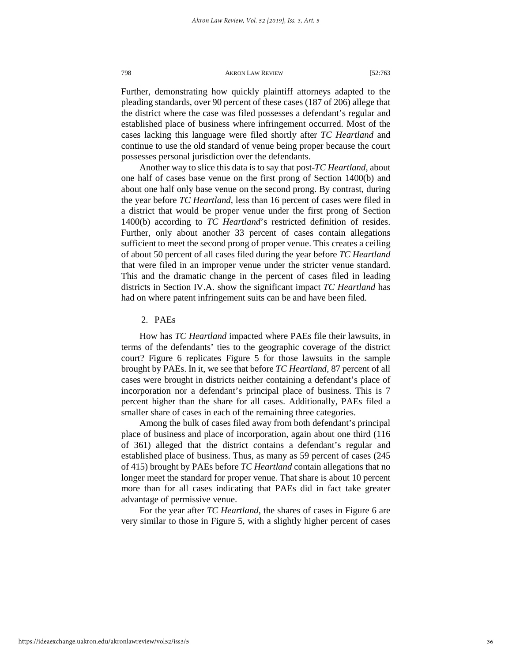Further, demonstrating how quickly plaintiff attorneys adapted to the pleading standards, over 90 percent of these cases (187 of 206) allege that the district where the case was filed possesses a defendant's regular and established place of business where infringement occurred. Most of the cases lacking this language were filed shortly after *TC Heartland* and continue to use the old standard of venue being proper because the court possesses personal jurisdiction over the defendants.

Another way to slice this data is to say that post-*TC Heartland*, about one half of cases base venue on the first prong of Section 1400(b) and about one half only base venue on the second prong. By contrast, during the year before *TC Heartland*, less than 16 percent of cases were filed in a district that would be proper venue under the first prong of Section 1400(b) according to *TC Heartland*'s restricted definition of resides. Further, only about another 33 percent of cases contain allegations sufficient to meet the second prong of proper venue. This creates a ceiling of about 50 percent of all cases filed during the year before *TC Heartland* that were filed in an improper venue under the stricter venue standard. This and the dramatic change in the percent of cases filed in leading districts in Section IV.A. show the significant impact *TC Heartland* has had on where patent infringement suits can be and have been filed.

#### 2. PAEs

How has *TC Heartland* impacted where PAEs file their lawsuits, in terms of the defendants' ties to the geographic coverage of the district court? Figure 6 replicates Figure 5 for those lawsuits in the sample brought by PAEs. In it, we see that before *TC Heartland*, 87 percent of all cases were brought in districts neither containing a defendant's place of incorporation nor a defendant's principal place of business. This is 7 percent higher than the share for all cases. Additionally, PAEs filed a smaller share of cases in each of the remaining three categories.

Among the bulk of cases filed away from both defendant's principal place of business and place of incorporation, again about one third (116 of 361) alleged that the district contains a defendant's regular and established place of business. Thus, as many as 59 percent of cases (245 of 415) brought by PAEs before *TC Heartland* contain allegations that no longer meet the standard for proper venue. That share is about 10 percent more than for all cases indicating that PAEs did in fact take greater advantage of permissive venue.

For the year after *TC Heartland*, the shares of cases in Figure 6 are very similar to those in Figure 5, with a slightly higher percent of cases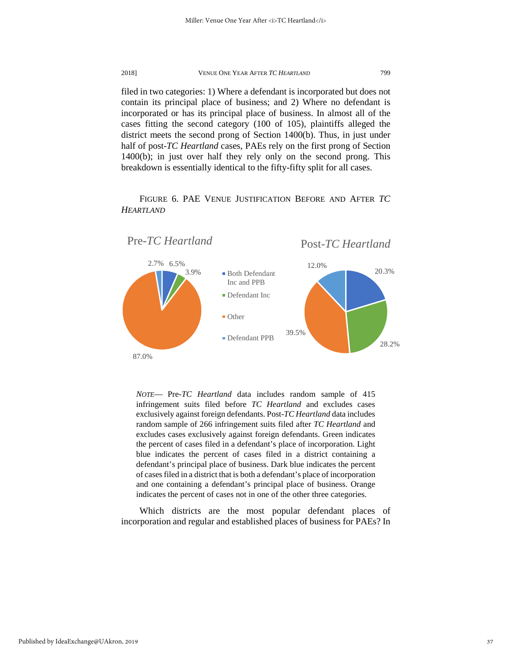filed in two categories: 1) Where a defendant is incorporated but does not contain its principal place of business; and 2) Where no defendant is incorporated or has its principal place of business. In almost all of the cases fitting the second category (100 of 105), plaintiffs alleged the district meets the second prong of Section 1400(b). Thus, in just under half of post-*TC Heartland* cases, PAEs rely on the first prong of Section 1400(b); in just over half they rely only on the second prong. This breakdown is essentially identical to the fifty-fifty split for all cases.

FIGURE 6. PAE VENUE JUSTIFICATION BEFORE AND AFTER *TC HEARTLAND*



*NOTE*— Pre*-TC Heartland* data includes random sample of 415 infringement suits filed before *TC Heartland* and excludes cases exclusively against foreign defendants. Post-*TC Heartland* data includes random sample of 266 infringement suits filed after *TC Heartland* and excludes cases exclusively against foreign defendants. Green indicates the percent of cases filed in a defendant's place of incorporation. Light blue indicates the percent of cases filed in a district containing a defendant's principal place of business. Dark blue indicates the percent of cases filed in a district that is both a defendant's place of incorporation and one containing a defendant's principal place of business. Orange indicates the percent of cases not in one of the other three categories.

Which districts are the most popular defendant places of incorporation and regular and established places of business for PAEs? In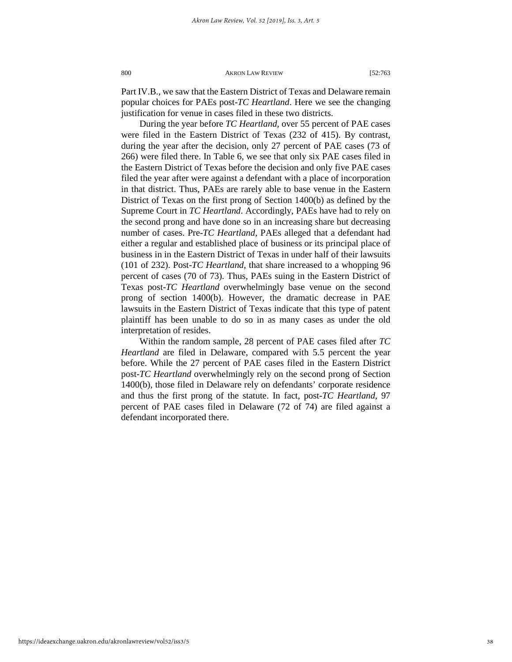Part IV.B., we saw that the Eastern District of Texas and Delaware remain popular choices for PAEs post-*TC Heartland*. Here we see the changing justification for venue in cases filed in these two districts.

During the year before *TC Heartland*, over 55 percent of PAE cases were filed in the Eastern District of Texas (232 of 415). By contrast, during the year after the decision, only 27 percent of PAE cases (73 of 266) were filed there. In Table 6, we see that only six PAE cases filed in the Eastern District of Texas before the decision and only five PAE cases filed the year after were against a defendant with a place of incorporation in that district. Thus, PAEs are rarely able to base venue in the Eastern District of Texas on the first prong of Section 1400(b) as defined by the Supreme Court in *TC Heartland*. Accordingly, PAEs have had to rely on the second prong and have done so in an increasing share but decreasing number of cases. Pre-*TC Heartland*, PAEs alleged that a defendant had either a regular and established place of business or its principal place of business in in the Eastern District of Texas in under half of their lawsuits (101 of 232). Post-*TC Heartland*, that share increased to a whopping 96 percent of cases (70 of 73). Thus, PAEs suing in the Eastern District of Texas post-*TC Heartland* overwhelmingly base venue on the second prong of section 1400(b). However, the dramatic decrease in PAE lawsuits in the Eastern District of Texas indicate that this type of patent plaintiff has been unable to do so in as many cases as under the old interpretation of resides.

Within the random sample, 28 percent of PAE cases filed after *TC Heartland* are filed in Delaware, compared with 5.5 percent the year before. While the 27 percent of PAE cases filed in the Eastern District post-*TC Heartland* overwhelmingly rely on the second prong of Section 1400(b), those filed in Delaware rely on defendants' corporate residence and thus the first prong of the statute. In fact, post-*TC Heartland*, 97 percent of PAE cases filed in Delaware (72 of 74) are filed against a defendant incorporated there.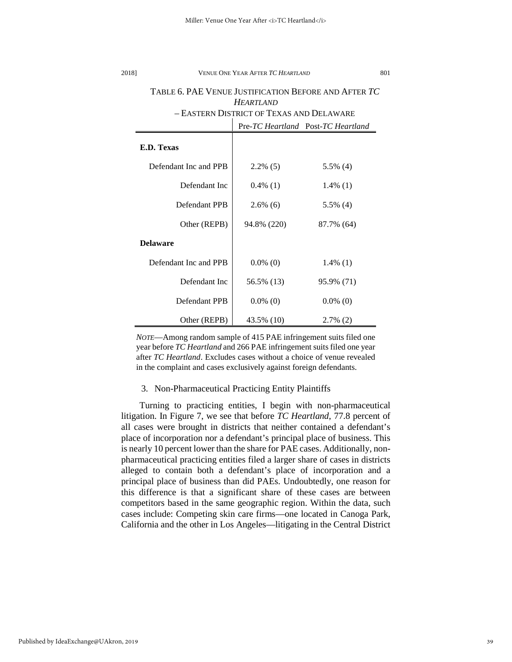| TABLE 6. PAE VENUE JUSTIFICATION BEFORE AND AFTER TC |                                          |                                    |  |  |
|------------------------------------------------------|------------------------------------------|------------------------------------|--|--|
|                                                      | <b>HEARTLAND</b>                         |                                    |  |  |
|                                                      | - EASTERN DISTRICT OF TEXAS AND DELAWARE |                                    |  |  |
|                                                      |                                          | Pre-TC Heartland Post-TC Heartland |  |  |
| E.D. Texas                                           |                                          |                                    |  |  |
| Defendant Inc and PPB                                | $2.2\%$ (5)                              | $5.5\%$ (4)                        |  |  |
| Defendant Inc                                        | $0.4\%$ (1)                              | $1.4\%$ (1)                        |  |  |
| Defendant PPB                                        | $2.6\%$ (6)                              | $5.5\%$ (4)                        |  |  |
| Other (REPB)                                         | 94.8% (220)                              | 87.7% (64)                         |  |  |
| <b>Delaware</b>                                      |                                          |                                    |  |  |
| Defendant Inc and PPB                                | $0.0\%$ (0)                              | $1.4\%$ (1)                        |  |  |
| Defendant Inc                                        | 56.5% (13)                               | 95.9% (71)                         |  |  |
| Defendant PPB                                        | $0.0\%$ (0)                              | $0.0\%$ (0)                        |  |  |
| Other (REPB)                                         | 43.5% (10)                               | $2.7\%$ (2)                        |  |  |

*NOTE*—Among random sample of 415 PAE infringement suits filed one year before *TC Heartland* and 266 PAE infringement suits filed one year after *TC Heartland*. Excludes cases without a choice of venue revealed in the complaint and cases exclusively against foreign defendants.

### 3. Non-Pharmaceutical Practicing Entity Plaintiffs

Turning to practicing entities, I begin with non-pharmaceutical litigation. In Figure 7, we see that before *TC Heartland*, 77.8 percent of all cases were brought in districts that neither contained a defendant's place of incorporation nor a defendant's principal place of business. This is nearly 10 percent lower than the share for PAE cases. Additionally, nonpharmaceutical practicing entities filed a larger share of cases in districts alleged to contain both a defendant's place of incorporation and a principal place of business than did PAEs. Undoubtedly, one reason for this difference is that a significant share of these cases are between competitors based in the same geographic region. Within the data, such cases include: Competing skin care firms—one located in Canoga Park, California and the other in Los Angeles—litigating in the Central District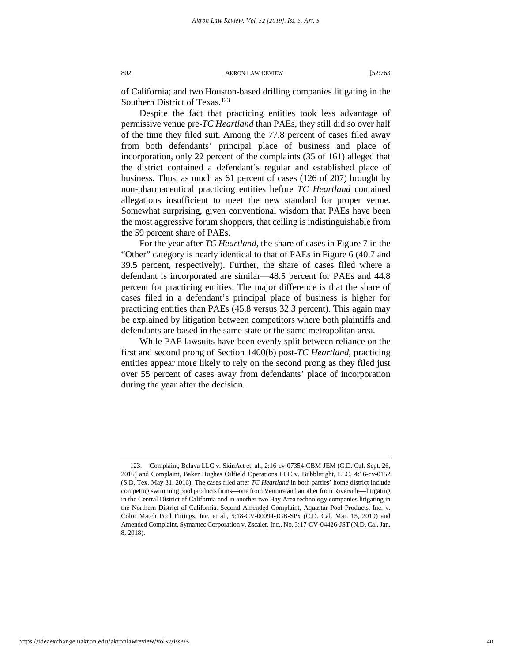of California; and two Houston-based drilling companies litigating in the Southern District of Texas.<sup>[123](#page-40-0)</sup>

Despite the fact that practicing entities took less advantage of permissive venue pre-*TC Heartland* than PAEs, they still did so over half of the time they filed suit. Among the 77.8 percent of cases filed away from both defendants' principal place of business and place of incorporation, only 22 percent of the complaints (35 of 161) alleged that the district contained a defendant's regular and established place of business. Thus, as much as 61 percent of cases (126 of 207) brought by non-pharmaceutical practicing entities before *TC Heartland* contained allegations insufficient to meet the new standard for proper venue. Somewhat surprising, given conventional wisdom that PAEs have been the most aggressive forum shoppers, that ceiling is indistinguishable from the 59 percent share of PAEs.

For the year after *TC Heartland*, the share of cases in Figure 7 in the "Other" category is nearly identical to that of PAEs in Figure 6 (40.7 and 39.5 percent, respectively). Further, the share of cases filed where a defendant is incorporated are similar—48.5 percent for PAEs and 44.8 percent for practicing entities. The major difference is that the share of cases filed in a defendant's principal place of business is higher for practicing entities than PAEs (45.8 versus 32.3 percent). This again may be explained by litigation between competitors where both plaintiffs and defendants are based in the same state or the same metropolitan area.

While PAE lawsuits have been evenly split between reliance on the first and second prong of Section 1400(b) post-*TC Heartland*, practicing entities appear more likely to rely on the second prong as they filed just over 55 percent of cases away from defendants' place of incorporation during the year after the decision.

<span id="page-40-0"></span><sup>123.</sup> Complaint, Belava LLC v. SkinAct et. al., 2:16-cv-07354-CBM-JEM (C.D. Cal. Sept. 26, 2016) and Complaint, Baker Hughes Oilfield Operations LLC v. Bubbletight, LLC, 4:16-cv-0152 (S.D. Tex. May 31, 2016). The cases filed after *TC Heartland* in both parties' home district include competing swimming pool products firms—one from Ventura and another from Riverside—litigating in the Central District of California and in another two Bay Area technology companies litigating in the Northern District of California. Second Amended Complaint, Aquastar Pool Products, Inc. v. Color Match Pool Fittings, Inc. et al., 5:18-CV-00094-JGB-SPx (C.D. Cal. Mar. 15, 2019) and Amended Complaint, Symantec Corporation v. Zscaler, Inc., No. 3:17-CV-04426-JST (N.D. Cal. Jan. 8, 2018).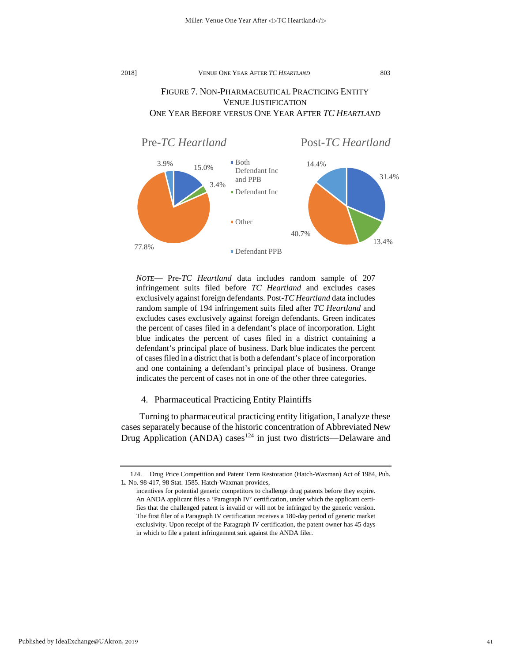# FIGURE 7. NON-PHARMACEUTICAL PRACTICING ENTITY VENUE JUSTIFICATION ONE YEAR BEFORE VERSUS ONE YEAR AFTER *TC HEARTLAND*



*NOTE*— Pre*-TC Heartland* data includes random sample of 207 infringement suits filed before *TC Heartland* and excludes cases exclusively against foreign defendants. Post-*TC Heartland* data includes random sample of 194 infringement suits filed after *TC Heartland* and excludes cases exclusively against foreign defendants. Green indicates the percent of cases filed in a defendant's place of incorporation. Light blue indicates the percent of cases filed in a district containing a defendant's principal place of business. Dark blue indicates the percent of cases filed in a district that is both a defendant's place of incorporation and one containing a defendant's principal place of business. Orange indicates the percent of cases not in one of the other three categories.

4. Pharmaceutical Practicing Entity Plaintiffs

Turning to pharmaceutical practicing entity litigation, I analyze these cases separately because of the historic concentration of Abbreviated New Drug Application (ANDA) cases<sup>[124](#page-41-0)</sup> in just two districts—Delaware and

<span id="page-41-0"></span><sup>124.</sup> Drug Price Competition and Patent Term Restoration (Hatch-Waxman) Act of 1984, Pub. L. No. 98-417, 98 Stat. 1585. Hatch-Waxman provides,

incentives for potential generic competitors to challenge drug patents before they expire. An ANDA applicant files a 'Paragraph IV' certification, under which the applicant certifies that the challenged patent is invalid or will not be infringed by the generic version. The first filer of a Paragraph IV certification receives a 180-day period of generic market exclusivity. Upon receipt of the Paragraph IV certification, the patent owner has 45 days in which to file a patent infringement suit against the ANDA filer.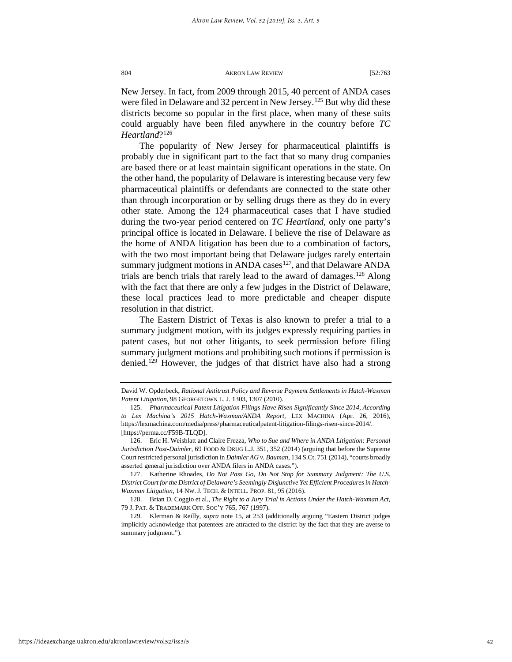New Jersey. In fact, from 2009 through 2015, 40 percent of ANDA cases were filed in Delaware and 32 percent in New Jersey.<sup>[125](#page-42-0)</sup> But why did these districts become so popular in the first place, when many of these suits could arguably have been filed anywhere in the country before *TC Heartland*?[126](#page-42-1)

The popularity of New Jersey for pharmaceutical plaintiffs is probably due in significant part to the fact that so many drug companies are based there or at least maintain significant operations in the state. On the other hand, the popularity of Delaware is interesting because very few pharmaceutical plaintiffs or defendants are connected to the state other than through incorporation or by selling drugs there as they do in every other state. Among the 124 pharmaceutical cases that I have studied during the two-year period centered on *TC Heartland*, only one party's principal office is located in Delaware. I believe the rise of Delaware as the home of ANDA litigation has been due to a combination of factors, with the two most important being that Delaware judges rarely entertain summary judgment motions in ANDA cases<sup>127</sup>, and that Delaware ANDA trials are bench trials that rarely lead to the award of damages.<sup>[128](#page-42-3)</sup> Along with the fact that there are only a few judges in the District of Delaware, these local practices lead to more predictable and cheaper dispute resolution in that district.

The Eastern District of Texas is also known to prefer a trial to a summary judgment motion, with its judges expressly requiring parties in patent cases, but not other litigants, to seek permission before filing summary judgment motions and prohibiting such motions if permission is denied.<sup>[129](#page-42-4)</sup> However, the judges of that district have also had a strong

David W. Opderbeck, *Rational Antitrust Policy and Reverse Payment Settlements in Hatch-Waxman Patent Litigation*, 98 GEORGETOWN L. J. 1303, 1307 (2010).

<span id="page-42-0"></span><sup>125.</sup> *Pharmaceutical Patent Litigation Filings Have Risen Significantly Since 2014, According to Lex Machina's 2015 Hatch-Waxman/ANDA Report*, LEX MACHINA (Apr. 26, 2016), https://lexmachina.com/media/press/pharmaceuticalpatent-litigation-filings-risen-since-2014/. [https://perma.cc/F59B-TLQD].

<span id="page-42-1"></span><sup>126.</sup> Eric H. Weisblatt and Claire Frezza, *Who to Sue and Where in ANDA Litigation: Personal Jurisdiction Post-Daimler*, 69 FOOD & DRUG L.J. 351, 352 (2014) (arguing that before the Supreme Court restricted personal jurisdiction in *Daimler AG v. Bauman*, 134 S.Ct. 751 (2014), "courts broadly asserted general jurisdiction over ANDA filers in ANDA cases.").

<span id="page-42-2"></span><sup>127.</sup> Katherine Rhoades, *Do Not Pass Go, Do Not Stop for Summary Judgment: The U.S. District Court for the District of Delaware's Seemingly Disjunctive Yet Efficient Procedures in Hatch-Waxman Litigation*, 14 NW. J. TECH. & INTELL. PROP. 81, 95 (2016).

<span id="page-42-3"></span><sup>128.</sup> Brian D. Coggio et al., *The Right to a Jury Trial in Actions Under the Hatch-Waxman Act*, 79 J. PAT. & TRADEMARK OFF. SOC'Y 765, 767 (1997).

<span id="page-42-4"></span><sup>129.</sup> Klerman & Reilly, *supra* note 15, at 253 (additionally arguing "Eastern District judges implicitly acknowledge that patentees are attracted to the district by the fact that they are averse to summary judgment.").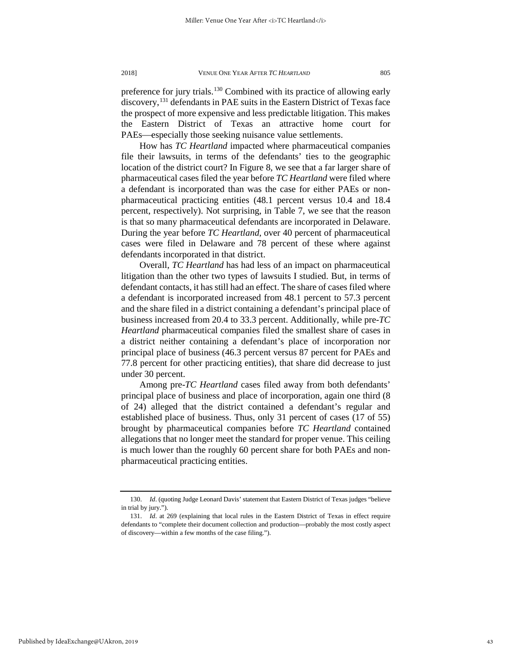preference for jury trials.<sup>[130](#page-43-0)</sup> Combined with its practice of allowing early discovery,<sup>[131](#page-43-1)</sup> defendants in PAE suits in the Eastern District of Texas face the prospect of more expensive and less predictable litigation. This makes the Eastern District of Texas an attractive home court for PAEs—especially those seeking nuisance value settlements.

How has *TC Heartland* impacted where pharmaceutical companies file their lawsuits, in terms of the defendants' ties to the geographic location of the district court? In Figure 8, we see that a far larger share of pharmaceutical cases filed the year before *TC Heartland* were filed where a defendant is incorporated than was the case for either PAEs or nonpharmaceutical practicing entities (48.1 percent versus 10.4 and 18.4 percent, respectively). Not surprising, in Table 7, we see that the reason is that so many pharmaceutical defendants are incorporated in Delaware. During the year before *TC Heartland*, over 40 percent of pharmaceutical cases were filed in Delaware and 78 percent of these where against defendants incorporated in that district.

Overall, *TC Heartland* has had less of an impact on pharmaceutical litigation than the other two types of lawsuits I studied. But, in terms of defendant contacts, it has still had an effect. The share of cases filed where a defendant is incorporated increased from 48.1 percent to 57.3 percent and the share filed in a district containing a defendant's principal place of business increased from 20.4 to 33.3 percent. Additionally, while pre-*TC Heartland* pharmaceutical companies filed the smallest share of cases in a district neither containing a defendant's place of incorporation nor principal place of business (46.3 percent versus 87 percent for PAEs and 77.8 percent for other practicing entities), that share did decrease to just under 30 percent.

Among pre-*TC Heartland* cases filed away from both defendants' principal place of business and place of incorporation, again one third (8 of 24) alleged that the district contained a defendant's regular and established place of business. Thus, only 31 percent of cases (17 of 55) brought by pharmaceutical companies before *TC Heartland* contained allegations that no longer meet the standard for proper venue. This ceiling is much lower than the roughly 60 percent share for both PAEs and nonpharmaceutical practicing entities.

<span id="page-43-0"></span><sup>130.</sup> *Id*. (quoting Judge Leonard Davis' statement that Eastern District of Texas judges "believe in trial by jury.").

<span id="page-43-1"></span><sup>131.</sup> *Id*. at 269 (explaining that local rules in the Eastern District of Texas in effect require defendants to "complete their document collection and production—probably the most costly aspect of discovery—within a few months of the case filing.").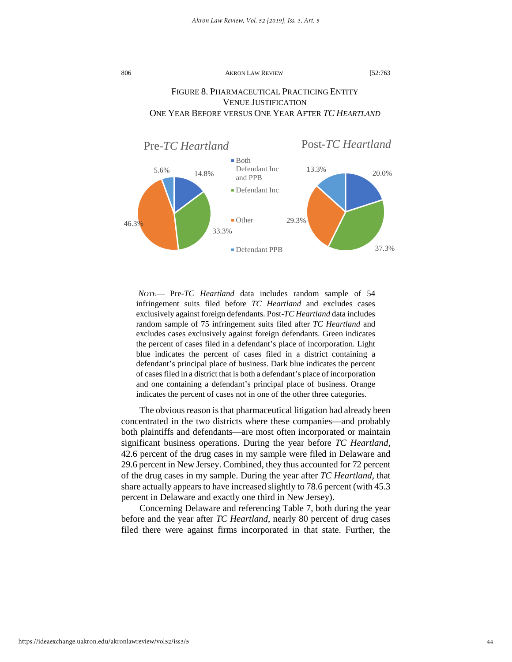# FIGURE 8. PHARMACEUTICAL PRACTICING ENTITY VENUE JUSTIFICATION ONE YEAR BEFORE VERSUS ONE YEAR AFTER *TC HEARTLAND*



*NOTE*— Pre*-TC Heartland* data includes random sample of 54 infringement suits filed before *TC Heartland* and excludes cases exclusively against foreign defendants. Post-*TC Heartland* data includes random sample of 75 infringement suits filed after *TC Heartland* and excludes cases exclusively against foreign defendants. Green indicates the percent of cases filed in a defendant's place of incorporation. Light blue indicates the percent of cases filed in a district containing a defendant's principal place of business. Dark blue indicates the percent of cases filed in a district that is both a defendant's place of incorporation and one containing a defendant's principal place of business. Orange indicates the percent of cases not in one of the other three categories.

The obvious reason is that pharmaceutical litigation had already been concentrated in the two districts where these companies—and probably both plaintiffs and defendants—are most often incorporated or maintain significant business operations. During the year before *TC Heartland*, 42.6 percent of the drug cases in my sample were filed in Delaware and 29.6 percent in New Jersey. Combined, they thus accounted for 72 percent of the drug cases in my sample. During the year after *TC Heartland*, that share actually appears to have increased slightly to 78.6 percent (with 45.3 percent in Delaware and exactly one third in New Jersey).

Concerning Delaware and referencing Table 7, both during the year before and the year after *TC Heartland*, nearly 80 percent of drug cases filed there were against firms incorporated in that state. Further, the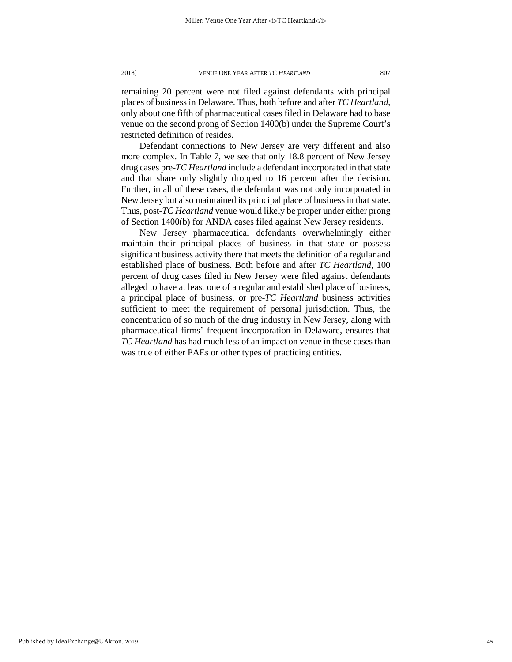remaining 20 percent were not filed against defendants with principal places of business in Delaware. Thus, both before and after *TC Heartland*, only about one fifth of pharmaceutical cases filed in Delaware had to base venue on the second prong of Section 1400(b) under the Supreme Court's restricted definition of resides.

Defendant connections to New Jersey are very different and also more complex. In Table 7, we see that only 18.8 percent of New Jersey drug cases pre-*TC Heartland* include a defendant incorporated in that state and that share only slightly dropped to 16 percent after the decision. Further, in all of these cases, the defendant was not only incorporated in New Jersey but also maintained its principal place of business in that state. Thus, post-*TC Heartland* venue would likely be proper under either prong of Section 1400(b) for ANDA cases filed against New Jersey residents.

New Jersey pharmaceutical defendants overwhelmingly either maintain their principal places of business in that state or possess significant business activity there that meets the definition of a regular and established place of business. Both before and after *TC Heartland*, 100 percent of drug cases filed in New Jersey were filed against defendants alleged to have at least one of a regular and established place of business, a principal place of business, or pre-*TC Heartland* business activities sufficient to meet the requirement of personal jurisdiction. Thus, the concentration of so much of the drug industry in New Jersey, along with pharmaceutical firms' frequent incorporation in Delaware, ensures that *TC Heartland* has had much less of an impact on venue in these cases than was true of either PAEs or other types of practicing entities.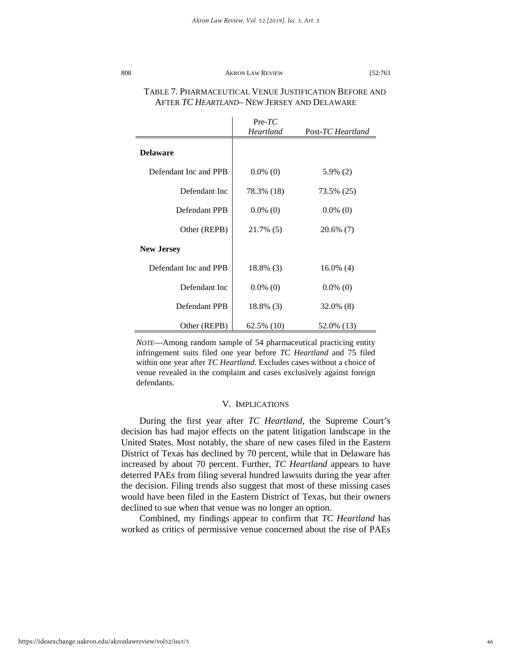|                       | $Pre-TC$<br><b>Heartland</b> | Post-TC Heartland |
|-----------------------|------------------------------|-------------------|
| <b>Delaware</b>       |                              |                   |
| Defendant Inc and PPB | $0.0\%$ (0)                  | $5.9\%$ (2)       |
| Defendant Inc.        | 78.3% (18)                   | 73.5% (25)        |
| Defendant PPB         | $0.0\%$ (0)                  | $0.0\%$ (0)       |
| Other (REPB)          | 21.7% (5)                    | 20.6% (7)         |
| <b>New Jersey</b>     |                              |                   |
| Defendant Inc and PPB | 18.8% (3)                    | $16.0\%$ (4)      |
| Defendant Inc         | $0.0\%$ (0)                  | $0.0\%$ (0)       |
| Defendant PPB         | 18.8% (3)                    | 32.0% (8)         |
| Other (REPB)          | $62.5\%$ (10)                | 52.0% (13)        |

# TABLE 7. PHARMACEUTICAL VENUE JUSTIFICATION BEFORE AND AFTER *TC HEARTLAND*– NEW JERSEY AND DELAWARE

*NOTE*—Among random sample of 54 pharmaceutical practicing entity infringement suits filed one year before *TC Heartland* and 75 filed within one year after *TC Heartland*. Excludes cases without a choice of venue revealed in the complaint and cases exclusively against foreign defendants.

## V. IMPLICATIONS

During the first year after *TC Heartland*, the Supreme Court's decision has had major effects on the patent litigation landscape in the United States. Most notably, the share of new cases filed in the Eastern District of Texas has declined by 70 percent, while that in Delaware has increased by about 70 percent. Further, *TC Heartland* appears to have deterred PAEs from filing several hundred lawsuits during the year after the decision. Filing trends also suggest that most of these missing cases would have been filed in the Eastern District of Texas, but their owners declined to sue when that venue was no longer an option.

Combined, my findings appear to confirm that *TC Heartland* has worked as critics of permissive venue concerned about the rise of PAEs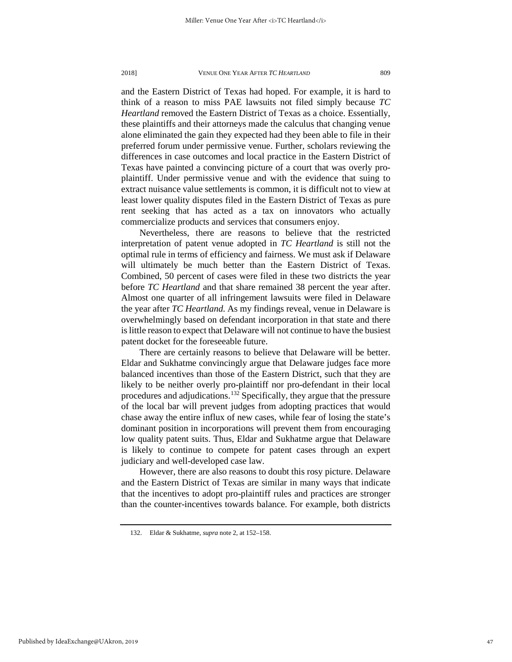and the Eastern District of Texas had hoped. For example, it is hard to think of a reason to miss PAE lawsuits not filed simply because *TC Heartland* removed the Eastern District of Texas as a choice. Essentially, these plaintiffs and their attorneys made the calculus that changing venue alone eliminated the gain they expected had they been able to file in their preferred forum under permissive venue. Further, scholars reviewing the differences in case outcomes and local practice in the Eastern District of Texas have painted a convincing picture of a court that was overly proplaintiff. Under permissive venue and with the evidence that suing to extract nuisance value settlements is common, it is difficult not to view at least lower quality disputes filed in the Eastern District of Texas as pure rent seeking that has acted as a tax on innovators who actually commercialize products and services that consumers enjoy.

Nevertheless, there are reasons to believe that the restricted interpretation of patent venue adopted in *TC Heartland* is still not the optimal rule in terms of efficiency and fairness. We must ask if Delaware will ultimately be much better than the Eastern District of Texas. Combined, 50 percent of cases were filed in these two districts the year before *TC Heartland* and that share remained 38 percent the year after. Almost one quarter of all infringement lawsuits were filed in Delaware the year after *TC Heartland*. As my findings reveal, venue in Delaware is overwhelmingly based on defendant incorporation in that state and there is little reason to expect that Delaware will not continue to have the busiest patent docket for the foreseeable future.

There are certainly reasons to believe that Delaware will be better. Eldar and Sukhatme convincingly argue that Delaware judges face more balanced incentives than those of the Eastern District, such that they are likely to be neither overly pro-plaintiff nor pro-defendant in their local procedures and adjudications.<sup>[132](#page-47-0)</sup> Specifically, they argue that the pressure of the local bar will prevent judges from adopting practices that would chase away the entire influx of new cases, while fear of losing the state's dominant position in incorporations will prevent them from encouraging low quality patent suits. Thus, Eldar and Sukhatme argue that Delaware is likely to continue to compete for patent cases through an expert judiciary and well-developed case law.

However, there are also reasons to doubt this rosy picture. Delaware and the Eastern District of Texas are similar in many ways that indicate that the incentives to adopt pro-plaintiff rules and practices are stronger than the counter-incentives towards balance. For example, both districts

<span id="page-47-0"></span><sup>132.</sup> Eldar & Sukhatme, *supra* note 2, at 152–158.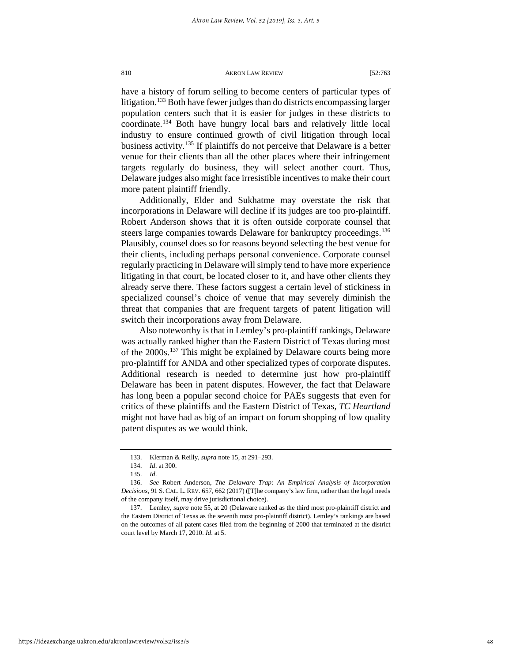have a history of forum selling to become centers of particular types of litigation.<sup>[133](#page-48-0)</sup> Both have fewer judges than do districts encompassing larger population centers such that it is easier for judges in these districts to coordinate.[134](#page-48-1) Both have hungry local bars and relatively little local industry to ensure continued growth of civil litigation through local business activity.[135](#page-48-2) If plaintiffs do not perceive that Delaware is a better venue for their clients than all the other places where their infringement targets regularly do business, they will select another court. Thus, Delaware judges also might face irresistible incentives to make their court more patent plaintiff friendly.

Additionally, Elder and Sukhatme may overstate the risk that incorporations in Delaware will decline if its judges are too pro-plaintiff. Robert Anderson shows that it is often outside corporate counsel that steers large companies towards Delaware for bankruptcy proceedings.<sup>136</sup> Plausibly, counsel does so for reasons beyond selecting the best venue for their clients, including perhaps personal convenience. Corporate counsel regularly practicing in Delaware will simply tend to have more experience litigating in that court, be located closer to it, and have other clients they already serve there. These factors suggest a certain level of stickiness in specialized counsel's choice of venue that may severely diminish the threat that companies that are frequent targets of patent litigation will switch their incorporations away from Delaware.

Also noteworthy is that in Lemley's pro-plaintiff rankings, Delaware was actually ranked higher than the Eastern District of Texas during most of the 2000s.[137](#page-48-4) This might be explained by Delaware courts being more pro-plaintiff for ANDA and other specialized types of corporate disputes. Additional research is needed to determine just how pro-plaintiff Delaware has been in patent disputes. However, the fact that Delaware has long been a popular second choice for PAEs suggests that even for critics of these plaintiffs and the Eastern District of Texas, *TC Heartland* might not have had as big of an impact on forum shopping of low quality patent disputes as we would think.

<sup>133.</sup> Klerman & Reilly, *supra* note 15, at 291–293.

<sup>134.</sup> *Id*. at 300.

<sup>135.</sup> *Id*.

<span id="page-48-3"></span><span id="page-48-2"></span><span id="page-48-1"></span><span id="page-48-0"></span><sup>136.</sup> *See* Robert Anderson, *The Delaware Trap: An Empirical Analysis of Incorporation Decisions*, 91 S. CAL. L. REV. 657, 662 (2017) ([T]he company's law firm, rather than the legal needs of the company itself, may drive jurisdictional choice).

<span id="page-48-4"></span><sup>137.</sup> Lemley, *supra* note 55, at 20 (Delaware ranked as the third most pro-plaintiff district and the Eastern District of Texas as the seventh most pro-plaintiff district). Lemley's rankings are based on the outcomes of all patent cases filed from the beginning of 2000 that terminated at the district court level by March 17, 2010. *Id*. at 5.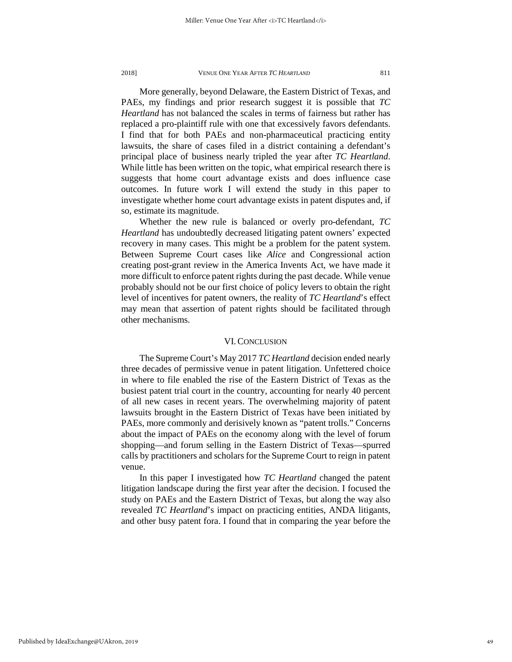More generally, beyond Delaware, the Eastern District of Texas, and PAEs, my findings and prior research suggest it is possible that *TC Heartland* has not balanced the scales in terms of fairness but rather has replaced a pro-plaintiff rule with one that excessively favors defendants. I find that for both PAEs and non-pharmaceutical practicing entity lawsuits, the share of cases filed in a district containing a defendant's principal place of business nearly tripled the year after *TC Heartland*. While little has been written on the topic, what empirical research there is suggests that home court advantage exists and does influence case outcomes. In future work I will extend the study in this paper to investigate whether home court advantage exists in patent disputes and, if so, estimate its magnitude.

Whether the new rule is balanced or overly pro-defendant, *TC Heartland* has undoubtedly decreased litigating patent owners' expected recovery in many cases. This might be a problem for the patent system. Between Supreme Court cases like *Alice* and Congressional action creating post-grant review in the America Invents Act, we have made it more difficult to enforce patent rights during the past decade. While venue probably should not be our first choice of policy levers to obtain the right level of incentives for patent owners, the reality of *TC Heartland*'s effect may mean that assertion of patent rights should be facilitated through other mechanisms.

## VI. CONCLUSION

The Supreme Court's May 2017 *TC Heartland* decision ended nearly three decades of permissive venue in patent litigation. Unfettered choice in where to file enabled the rise of the Eastern District of Texas as the busiest patent trial court in the country, accounting for nearly 40 percent of all new cases in recent years. The overwhelming majority of patent lawsuits brought in the Eastern District of Texas have been initiated by PAEs, more commonly and derisively known as "patent trolls." Concerns about the impact of PAEs on the economy along with the level of forum shopping—and forum selling in the Eastern District of Texas—spurred calls by practitioners and scholars for the Supreme Court to reign in patent venue.

In this paper I investigated how *TC Heartland* changed the patent litigation landscape during the first year after the decision. I focused the study on PAEs and the Eastern District of Texas, but along the way also revealed *TC Heartland*'s impact on practicing entities, ANDA litigants, and other busy patent fora. I found that in comparing the year before the